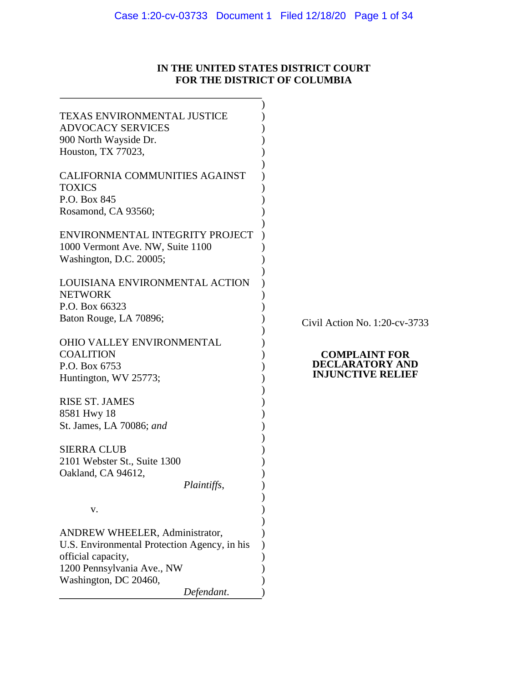# Case 1:20-cv-03733 Document 1 Filed 12/18/20 Page 1 of 34

# **IN THE UNITED STATES DISTRICT COURT FOR THE DISTRICT OF COLUMBIA**

| <b>TEXAS ENVIRONMENTAL JUSTICE</b>           |  |
|----------------------------------------------|--|
| <b>ADVOCACY SERVICES</b>                     |  |
| 900 North Wayside Dr.                        |  |
|                                              |  |
| Houston, TX 77023,                           |  |
|                                              |  |
| <b>CALIFORNIA COMMUNITIES AGAINST</b>        |  |
| <b>TOXICS</b>                                |  |
| P.O. Box 845                                 |  |
| Rosamond, CA 93560;                          |  |
|                                              |  |
| ENVIRONMENTAL INTEGRITY PROJECT              |  |
| 1000 Vermont Ave. NW, Suite 1100             |  |
| Washington, D.C. 20005;                      |  |
|                                              |  |
| LOUISIANA ENVIRONMENTAL ACTION               |  |
| <b>NETWORK</b>                               |  |
| P.O. Box 66323                               |  |
| Baton Rouge, LA 70896;                       |  |
|                                              |  |
| <b>OHIO VALLEY ENVIRONMENTAL</b>             |  |
| <b>COALITION</b>                             |  |
| P.O. Box 6753                                |  |
|                                              |  |
| Huntington, WV 25773;                        |  |
|                                              |  |
| <b>RISE ST. JAMES</b>                        |  |
| 8581 Hwy 18                                  |  |
| St. James, LA 70086; and                     |  |
|                                              |  |
| <b>SIERRA CLUB</b>                           |  |
| 2101 Webster St., Suite 1300                 |  |
| Oakland, CA 94612,                           |  |
| Plaintiffs                                   |  |
|                                              |  |
| v.                                           |  |
|                                              |  |
| <b>ANDREW WHEELER, Administrator,</b>        |  |
| U.S. Environmental Protection Agency, in his |  |
| official capacity,                           |  |
| 1200 Pennsylvania Ave., NW                   |  |
| Washington, DC 20460,                        |  |
|                                              |  |
| Defendant.                                   |  |

Civil Action No. 1:20-cv-3733

#### **COMPLAINT FOR DECLARATORY AND INJUNCTIVE RELIEF**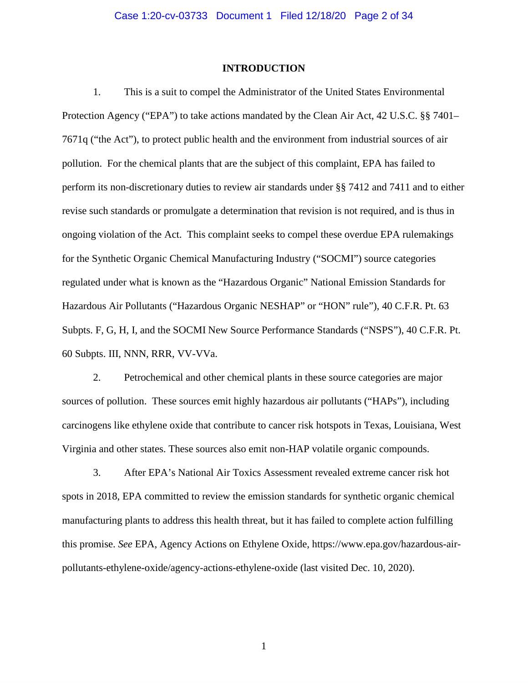### **INTRODUCTION**

 1. This is a suit to compel the Administrator of the United States Environmental Protection Agency ("EPA") to take actions mandated by the Clean Air Act, 42 U.S.C. §§ 7401– 7671q ("the Act"), to protect public health and the environment from industrial sources of air pollution. For the chemical plants that are the subject of this complaint, EPA has failed to perform its non-discretionary duties to review air standards under §§ 7412 and 7411 and to either revise such standards or promulgate a determination that revision is not required, and is thus in ongoing violation of the Act. This complaint seeks to compel these overdue EPA rulemakings for the Synthetic Organic Chemical Manufacturing Industry ("SOCMI") source categories regulated under what is known as the "Hazardous Organic" National Emission Standards for Hazardous Air Pollutants ("Hazardous Organic NESHAP" or "HON" rule"), 40 C.F.R. Pt. 63 Subpts. F, G, H, I, and the SOCMI New Source Performance Standards ("NSPS"), 40 C.F.R. Pt. 60 Subpts. III, NNN, RRR, VV-VVa.

2. Petrochemical and other chemical plants in these source categories are major sources of pollution. These sources emit highly hazardous air pollutants ("HAPs"), including carcinogens like ethylene oxide that contribute to cancer risk hotspots in Texas, Louisiana, West Virginia and other states. These sources also emit non-HAP volatile organic compounds.

3. After EPA's National Air Toxics Assessment revealed extreme cancer risk hot spots in 2018, EPA committed to review the emission standards for synthetic organic chemical manufacturing plants to address this health threat, but it has failed to complete action fulfilling this promise. *See* EPA, Agency Actions on Ethylene Oxide, [https://www.epa.gov/hazardous-air](https://www.epa.gov/hazardous-air-pollutants-ethylene-oxide/agency-actions-ethylene-oxide)[pollutants-ethylene-oxide/agency-actions-ethylene-oxide](https://www.epa.gov/hazardous-air-pollutants-ethylene-oxide/agency-actions-ethylene-oxide) (last visited Dec. 10, 2020).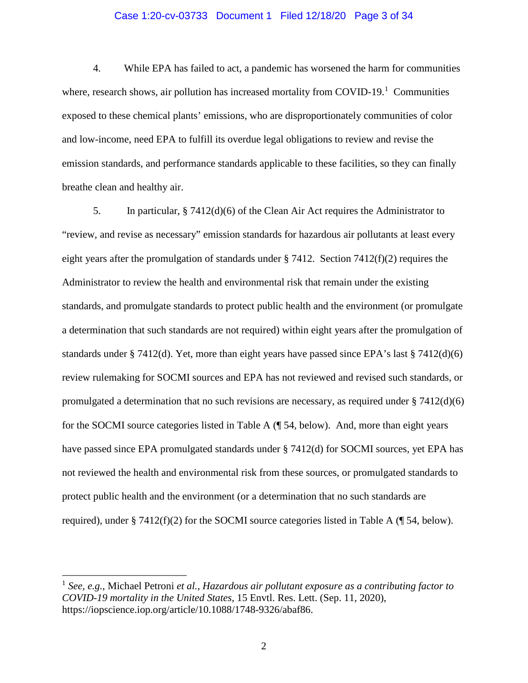# Case 1:20-cv-03733 Document 1 Filed 12/18/20 Page 3 of 34

4. While EPA has failed to act, a pandemic has worsened the harm for communities where, research shows, air pollution has increased mortality from COVID-[1](#page-2-0)9.<sup>1</sup> Communities exposed to these chemical plants' emissions, who are disproportionately communities of color and low-income, need EPA to fulfill its overdue legal obligations to review and revise the emission standards, and performance standards applicable to these facilities, so they can finally breathe clean and healthy air.

5. In particular, § 7412(d)(6) of the Clean Air Act requires the Administrator to "review, and revise as necessary" emission standards for hazardous air pollutants at least every eight years after the promulgation of standards under § 7412. Section  $7412(f)(2)$  requires the Administrator to review the health and environmental risk that remain under the existing standards, and promulgate standards to protect public health and the environment (or promulgate a determination that such standards are not required) within eight years after the promulgation of standards under § 7412(d). Yet, more than eight years have passed since EPA's last § 7412(d)(6) review rulemaking for SOCMI sources and EPA has not reviewed and revised such standards, or promulgated a determination that no such revisions are necessary, as required under  $\S 7412(d)(6)$ for the SOCMI source categories listed in Table A (¶ [54,](#page-14-0) below). And, more than eight years have passed since EPA promulgated standards under § 7412(d) for SOCMI sources, yet EPA has not reviewed the health and environmental risk from these sources, or promulgated standards to protect public health and the environment (or a determination that no such standards are required), under § 7412(f)(2) for the SOCMI source categories listed in Table A (¶ [54,](#page-14-0) below).

 $\overline{a}$ 

<span id="page-2-0"></span><sup>1</sup> *See, e.g.*, Michael Petroni *et al.*, *Hazardous air pollutant exposure as a contributing factor to COVID-19 mortality in the United States*, 15 Envtl. Res. Lett. (Sep. 11, 2020), [https://iopscience.iop.org/article/10.1088/1748-9326/abaf86.](https://iopscience.iop.org/article/10.1088/1748-9326/abaf86)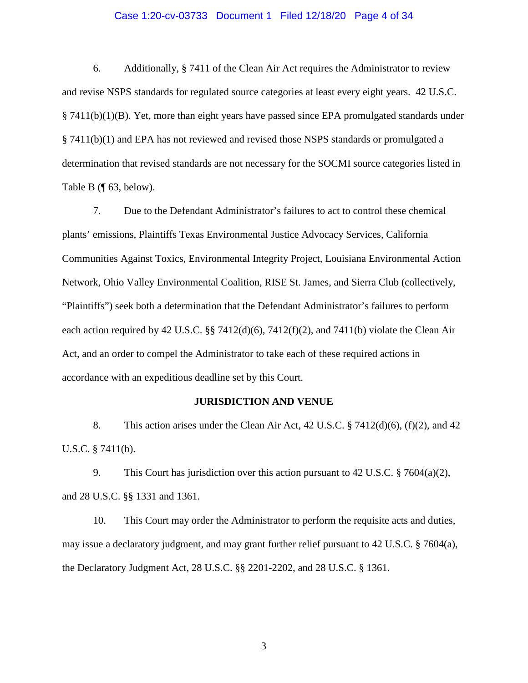# Case 1:20-cv-03733 Document 1 Filed 12/18/20 Page 4 of 34

6. Additionally, § 7411 of the Clean Air Act requires the Administrator to review and revise NSPS standards for regulated source categories at least every eight years. 42 U.S.C.  $§$  7411(b)(1)(B). Yet, more than eight years have passed since EPA promulgated standards under § 7411(b)(1) and EPA has not reviewed and revised those NSPS standards or promulgated a determination that revised standards are not necessary for the SOCMI source categories listed in Table B (¶ [63,](#page-16-0) below).

7. Due to the Defendant Administrator's failures to act to control these chemical plants' emissions, Plaintiffs Texas Environmental Justice Advocacy Services, California Communities Against Toxics, Environmental Integrity Project, Louisiana Environmental Action Network, Ohio Valley Environmental Coalition, RISE St. James, and Sierra Club (collectively, "Plaintiffs") seek both a determination that the Defendant Administrator's failures to perform each action required by 42 U.S.C. §§ 7412(d)(6), 7412(f)(2), and 7411(b) violate the Clean Air Act, and an order to compel the Administrator to take each of these required actions in accordance with an expeditious deadline set by this Court.

# **JURISDICTION AND VENUE**

8. This action arises under the Clean Air Act, 42 U.S.C. § 7412(d)(6), (f)(2), and 42 U.S.C. § 7411(b).

9. This Court has jurisdiction over this action pursuant to 42 U.S.C. § 7604(a)(2), and 28 U.S.C. §§ 1331 and 1361.

10. This Court may order the Administrator to perform the requisite acts and duties, may issue a declaratory judgment, and may grant further relief pursuant to 42 U.S.C. § 7604(a), the Declaratory Judgment Act, 28 U.S.C. §§ 2201-2202, and 28 U.S.C. § 1361.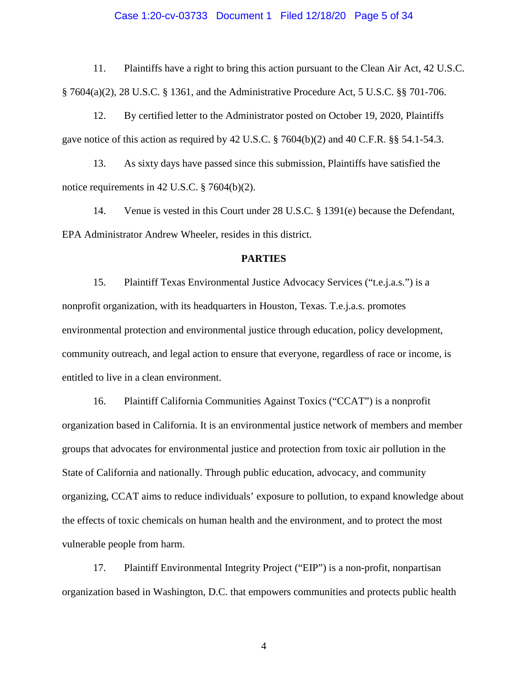# Case 1:20-cv-03733 Document 1 Filed 12/18/20 Page 5 of 34

11. Plaintiffs have a right to bring this action pursuant to the Clean Air Act, 42 U.S.C. § 7604(a)(2), 28 U.S.C. § 1361, and the Administrative Procedure Act, 5 U.S.C. §§ 701-706.

12. By certified letter to the Administrator posted on October 19, 2020, Plaintiffs gave notice of this action as required by 42 U.S.C. § 7604(b)(2) and 40 C.F.R. §§ 54.1-54.3.

13. As sixty days have passed since this submission, Plaintiffs have satisfied the notice requirements in 42 U.S.C. § 7604(b)(2).

14. Venue is vested in this Court under 28 U.S.C. § 1391(e) because the Defendant, EPA Administrator Andrew Wheeler, resides in this district.

# **PARTIES**

15. Plaintiff Texas Environmental Justice Advocacy Services ("t.e.j.a.s.") is a nonprofit organization, with its headquarters in Houston, Texas. T.e.j.a.s. promotes environmental protection and environmental justice through education, policy development, community outreach, and legal action to ensure that everyone, regardless of race or income, is entitled to live in a clean environment.

16. Plaintiff California Communities Against Toxics ("CCAT") is a nonprofit organization based in California. It is an environmental justice network of members and member groups that advocates for environmental justice and protection from toxic air pollution in the State of California and nationally. Through public education, advocacy, and community organizing, CCAT aims to reduce individuals' exposure to pollution, to expand knowledge about the effects of toxic chemicals on human health and the environment, and to protect the most vulnerable people from harm.

17. Plaintiff Environmental Integrity Project ("EIP") is a non-profit, nonpartisan organization based in Washington, D.C. that empowers communities and protects public health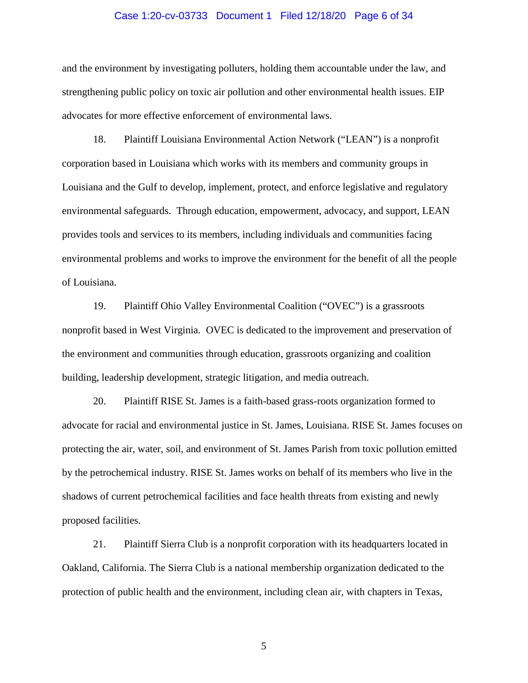# Case 1:20-cv-03733 Document 1 Filed 12/18/20 Page 6 of 34

and the environment by investigating polluters, holding them accountable under the law, and strengthening public policy on toxic air pollution and other environmental health issues. EIP advocates for more effective enforcement of environmental laws.

18. Plaintiff Louisiana Environmental Action Network ("LEAN") is a nonprofit corporation based in Louisiana which works with its members and community groups in Louisiana and the Gulf to develop, implement, protect, and enforce legislative and regulatory environmental safeguards. Through education, empowerment, advocacy, and support, LEAN provides tools and services to its members, including individuals and communities facing environmental problems and works to improve the environment for the benefit of all the people of Louisiana.

19. Plaintiff Ohio Valley Environmental Coalition ("OVEC") is a grassroots nonprofit based in West Virginia. OVEC is dedicated to the improvement and preservation of the environment and communities through education, grassroots organizing and coalition building, leadership development, strategic litigation, and media outreach.

20. Plaintiff RISE St. James is a faith-based grass-roots organization formed to advocate for racial and environmental justice in St. James, Louisiana. RISE St. James focuses on protecting the air, water, soil, and environment of St. James Parish from toxic pollution emitted by the petrochemical industry. RISE St. James works on behalf of its members who live in the shadows of current petrochemical facilities and face health threats from existing and newly proposed facilities.

21. Plaintiff Sierra Club is a nonprofit corporation with its headquarters located in Oakland, California. The Sierra Club is a national membership organization dedicated to the protection of public health and the environment, including clean air, with chapters in Texas,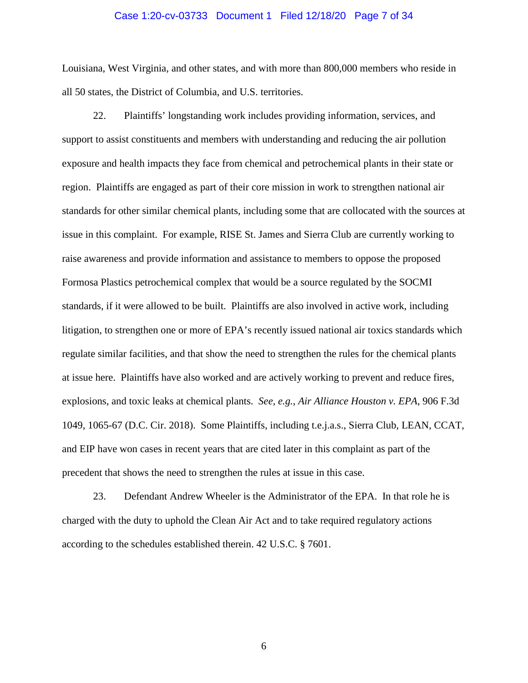### Case 1:20-cv-03733 Document 1 Filed 12/18/20 Page 7 of 34

Louisiana, West Virginia, and other states, and with more than 800,000 members who reside in all 50 states, the District of Columbia, and U.S. territories.

22. Plaintiffs' longstanding work includes providing information, services, and support to assist constituents and members with understanding and reducing the air pollution exposure and health impacts they face from chemical and petrochemical plants in their state or region. Plaintiffs are engaged as part of their core mission in work to strengthen national air standards for other similar chemical plants, including some that are collocated with the sources at issue in this complaint. For example, RISE St. James and Sierra Club are currently working to raise awareness and provide information and assistance to members to oppose the proposed Formosa Plastics petrochemical complex that would be a source regulated by the SOCMI standards, if it were allowed to be built. Plaintiffs are also involved in active work, including litigation, to strengthen one or more of EPA's recently issued national air toxics standards which regulate similar facilities, and that show the need to strengthen the rules for the chemical plants at issue here. Plaintiffs have also worked and are actively working to prevent and reduce fires, explosions, and toxic leaks at chemical plants. *See, e.g.*, *Air Alliance Houston v. EPA*, 906 F.3d 1049, 1065-67 (D.C. Cir. 2018). Some Plaintiffs, including t.e.j.a.s., Sierra Club, LEAN, CCAT, and EIP have won cases in recent years that are cited later in this complaint as part of the precedent that shows the need to strengthen the rules at issue in this case.

23. Defendant Andrew Wheeler is the Administrator of the EPA. In that role he is charged with the duty to uphold the Clean Air Act and to take required regulatory actions according to the schedules established therein. 42 U.S.C. § 7601.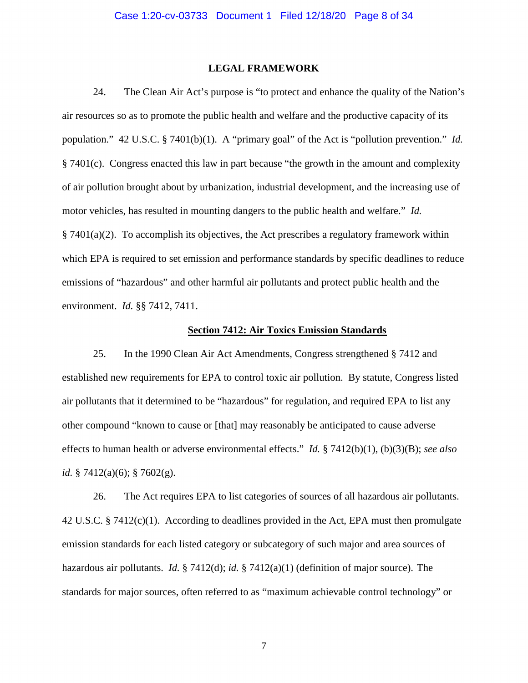# **LEGAL FRAMEWORK**

24. The Clean Air Act's purpose is "to protect and enhance the quality of the Nation's air resources so as to promote the public health and welfare and the productive capacity of its population." 42 U.S.C. § 7401(b)(1). A "primary goal" of the Act is "pollution prevention." *Id.* § 7401(c). Congress enacted this law in part because "the growth in the amount and complexity of air pollution brought about by urbanization, industrial development, and the increasing use of motor vehicles, has resulted in mounting dangers to the public health and welfare." *Id.* § 7401(a)(2). To accomplish its objectives, the Act prescribes a regulatory framework within which EPA is required to set emission and performance standards by specific deadlines to reduce emissions of "hazardous" and other harmful air pollutants and protect public health and the environment. *Id.* §§ 7412, 7411.

# **Section 7412: Air Toxics Emission Standards**

25. In the 1990 Clean Air Act Amendments, Congress strengthened § 7412 and established new requirements for EPA to control toxic air pollution. By statute, Congress listed air pollutants that it determined to be "hazardous" for regulation, and required EPA to list any other compound "known to cause or [that] may reasonably be anticipated to cause adverse effects to human health or adverse environmental effects." *Id.* § 7412(b)(1), (b)(3)(B); *see also id.* § 7412(a)(6); § 7602(g).

26. The Act requires EPA to list categories of sources of all hazardous air pollutants. 42 U.S.C. § 7412(c)(1). According to deadlines provided in the Act, EPA must then promulgate emission standards for each listed category or subcategory of such major and area sources of hazardous air pollutants. *Id.* § 7412(d); *id.* § 7412(a)(1) (definition of major source). The standards for major sources, often referred to as "maximum achievable control technology" or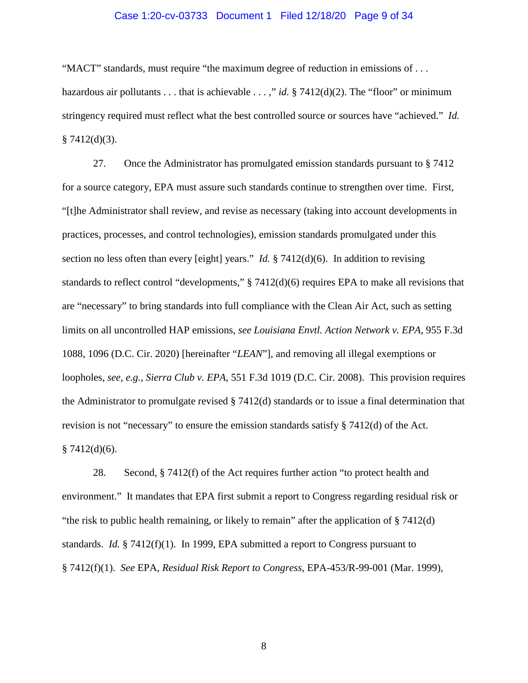# Case 1:20-cv-03733 Document 1 Filed 12/18/20 Page 9 of 34

"MACT" standards, must require "the maximum degree of reduction in emissions of . . . hazardous air pollutants . . . that is achievable . . . ," *id.* § 7412(d)(2). The "floor" or minimum stringency required must reflect what the best controlled source or sources have "achieved." *Id.*  $§ 7412(d)(3).$ 

27. Once the Administrator has promulgated emission standards pursuant to § 7412 for a source category, EPA must assure such standards continue to strengthen over time. First, "[t]he Administrator shall review, and revise as necessary (taking into account developments in practices, processes, and control technologies), emission standards promulgated under this section no less often than every [eight] years." *Id.* § 7412(d)(6). In addition to revising standards to reflect control "developments," § 7412(d)(6) requires EPA to make all revisions that are "necessary" to bring standards into full compliance with the Clean Air Act, such as setting limits on all uncontrolled HAP emissions, *see Louisiana Envtl. Action Network v. EPA*, 955 F.3d 1088, 1096 (D.C. Cir. 2020) [hereinafter "*LEAN*"], and removing all illegal exemptions or loopholes, *see, e.g.*, *Sierra Club v. EPA*, 551 F.3d 1019 (D.C. Cir. 2008). This provision requires the Administrator to promulgate revised § 7412(d) standards or to issue a final determination that revision is not "necessary" to ensure the emission standards satisfy § 7412(d) of the Act.  $§ 7412(d)(6).$ 

28. Second, § 7412(f) of the Act requires further action "to protect health and environment." It mandates that EPA first submit a report to Congress regarding residual risk or "the risk to public health remaining, or likely to remain" after the application of  $\S 7412(d)$ standards. *Id.* § 7412(f)(1). In 1999, EPA submitted a report to Congress pursuant to § 7412(f)(1). *See* EPA, *Residual Risk Report to Congress,* EPA-453/R-99-001 (Mar. 1999),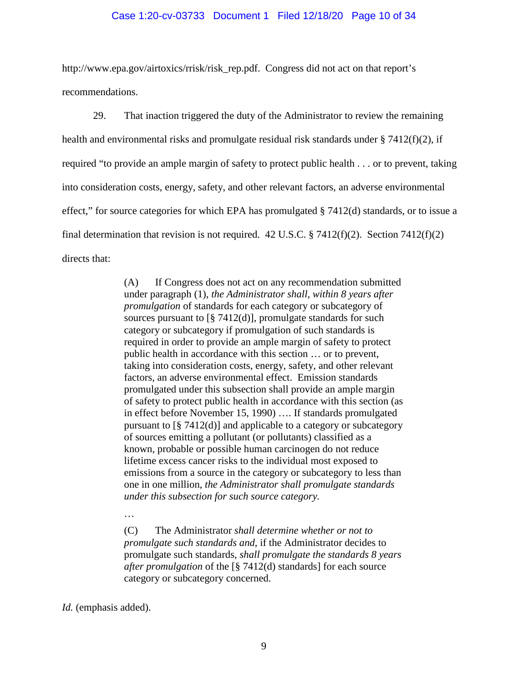### Case 1:20-cv-03733 Document 1 Filed 12/18/20 Page 10 of 34

[http://www.epa.gov/airtoxics/rrisk/risk\\_rep.pdf.](http://www.epa.gov/airtoxics/rrisk/risk_rep.pdf) Congress did not act on that report's recommendations.

29. That inaction triggered the duty of the Administrator to review the remaining health and environmental risks and promulgate residual risk standards under § 7412(f)(2), if required "to provide an ample margin of safety to protect public health . . . or to prevent, taking into consideration costs, energy, safety, and other relevant factors, an adverse environmental effect," for source categories for which EPA has promulgated § 7412(d) standards, or to issue a final determination that revision is not required. 42 U.S.C.  $\S 7412(f)(2)$ . Section 7412(f)(2) directs that:

> (A) If Congress does not act on any recommendation submitted under paragraph (1), *the Administrator shall, within 8 years after promulgation* of standards for each category or subcategory of sources pursuant to  $\lceil \frac{8}{3} \cdot 7412(d) \rceil$ , promulgate standards for such category or subcategory if promulgation of such standards is required in order to provide an ample margin of safety to protect public health in accordance with this section … or to prevent, taking into consideration costs, energy, safety, and other relevant factors, an adverse environmental effect. Emission standards promulgated under this subsection shall provide an ample margin of safety to protect public health in accordance with this section (as in effect before November 15, 1990) …. If standards promulgated pursuant to [§ 7412(d)] and applicable to a category or subcategory of sources emitting a pollutant (or pollutants) classified as a known, probable or possible human carcinogen do not reduce lifetime excess cancer risks to the individual most exposed to emissions from a source in the category or subcategory to less than one in one million, *the Administrator shall promulgate standards under this subsection for such source category.*

…

(C) The Administrator *shall determine whether or not to promulgate such standards and*, if the Administrator decides to promulgate such standards, *shall promulgate the standards 8 years after promulgation* of the [§ 7412(d) standards] for each source category or subcategory concerned.

*Id.* (emphasis added).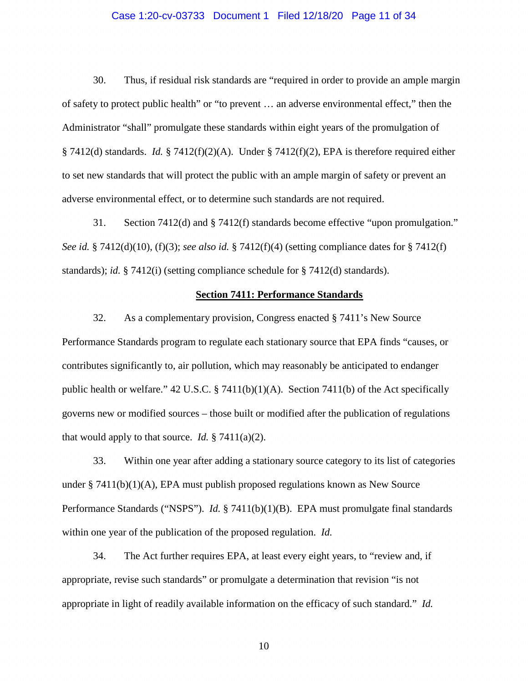# Case 1:20-cv-03733 Document 1 Filed 12/18/20 Page 11 of 34

30. Thus, if residual risk standards are "required in order to provide an ample margin of safety to protect public health" or "to prevent … an adverse environmental effect," then the Administrator "shall" promulgate these standards within eight years of the promulgation of § 7412(d) standards. *Id.* § 7412(f)(2)(A). Under § 7412(f)(2), EPA is therefore required either to set new standards that will protect the public with an ample margin of safety or prevent an adverse environmental effect, or to determine such standards are not required.

31. Section 7412(d) and § 7412(f) standards become effective "upon promulgation." *See id.* § 7412(d)(10), (f)(3); *see also id.* § 7412(f)(4) (setting compliance dates for § 7412(f) standards); *id.* § 7412(i) (setting compliance schedule for § 7412(d) standards).

# **Section 7411: Performance Standards**

32. As a complementary provision, Congress enacted § 7411's New Source Performance Standards program to regulate each stationary source that EPA finds "causes, or contributes significantly to, air pollution, which may reasonably be anticipated to endanger public health or welfare." 42 U.S.C. § 7411(b)(1)(A). Section 7411(b) of the Act specifically governs new or modified sources – those built or modified after the publication of regulations that would apply to that source. *Id.*  $\S 7411(a)(2)$ .

33. Within one year after adding a stationary source category to its list of categories under  $\S 7411(b)(1)(A)$ , EPA must publish proposed regulations known as New Source Performance Standards ("NSPS"). *Id.* § 7411(b)(1)(B). EPA must promulgate final standards within one year of the publication of the proposed regulation. *Id.*

34. The Act further requires EPA, at least every eight years, to "review and, if appropriate, revise such standards" or promulgate a determination that revision "is not appropriate in light of readily available information on the efficacy of such standard." *Id.*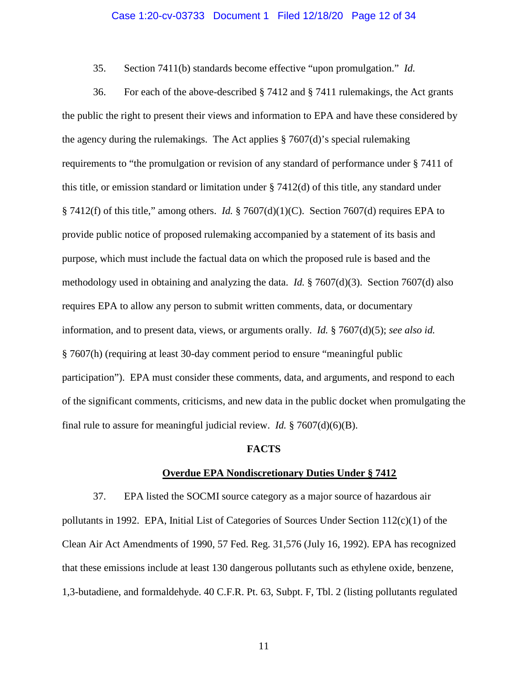# Case 1:20-cv-03733 Document 1 Filed 12/18/20 Page 12 of 34

35. Section 7411(b) standards become effective "upon promulgation." *Id.*

36. For each of the above-described § 7412 and § 7411 rulemakings, the Act grants the public the right to present their views and information to EPA and have these considered by the agency during the rulemakings. The Act applies  $\S 7607(d)$ 's special rulemaking requirements to "the promulgation or revision of any standard of performance under § 7411 of this title, or emission standard or limitation under  $\S 7412(d)$  of this title, any standard under § 7412(f) of this title," among others. *Id.* § 7607(d)(1)(C). Section 7607(d) requires EPA to provide public notice of proposed rulemaking accompanied by a statement of its basis and purpose, which must include the factual data on which the proposed rule is based and the methodology used in obtaining and analyzing the data. *Id.* § 7607(d)(3). Section 7607(d) also requires EPA to allow any person to submit written comments, data, or documentary information, and to present data, views, or arguments orally. *Id.* § 7607(d)(5); *see also id.* § 7607(h) (requiring at least 30-day comment period to ensure "meaningful public participation"). EPA must consider these comments, data, and arguments, and respond to each of the significant comments, criticisms, and new data in the public docket when promulgating the final rule to assure for meaningful judicial review. *Id.* § 7607(d)(6)(B).

#### **FACTS**

#### **Overdue EPA Nondiscretionary Duties Under § 7412**

<span id="page-11-0"></span>37. EPA listed the SOCMI source category as a major source of hazardous air pollutants in 1992. EPA, Initial List of Categories of Sources Under Section 112(c)(1) of the Clean Air Act Amendments of 1990, 57 Fed. Reg. 31,576 (July 16, 1992). EPA has recognized that these emissions include at least 130 dangerous pollutants such as ethylene oxide, benzene, 1,3-butadiene, and formaldehyde. 40 C.F.R. Pt. 63, Subpt. F, Tbl. 2 (listing pollutants regulated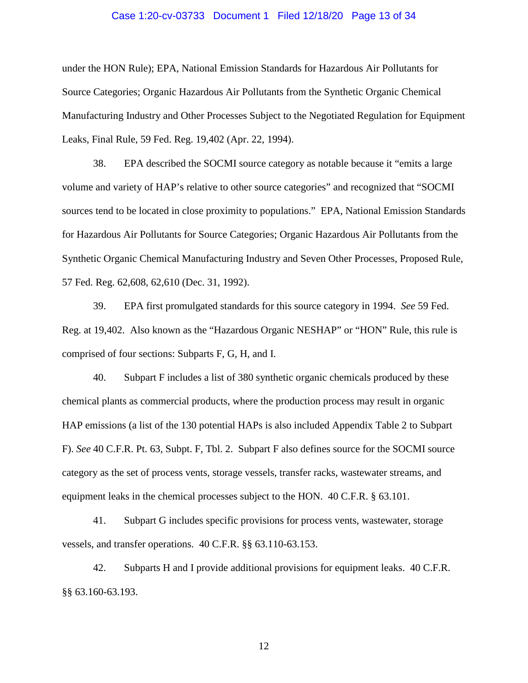# Case 1:20-cv-03733 Document 1 Filed 12/18/20 Page 13 of 34

under the HON Rule); EPA, National Emission Standards for Hazardous Air Pollutants for Source Categories; Organic Hazardous Air Pollutants from the Synthetic Organic Chemical Manufacturing Industry and Other Processes Subject to the Negotiated Regulation for Equipment Leaks, Final Rule, 59 Fed. Reg. 19,402 (Apr. 22, 1994).

38. EPA described the SOCMI source category as notable because it "emits a large volume and variety of HAP's relative to other source categories" and recognized that "SOCMI sources tend to be located in close proximity to populations." EPA, National Emission Standards for Hazardous Air Pollutants for Source Categories; Organic Hazardous Air Pollutants from the Synthetic Organic Chemical Manufacturing Industry and Seven Other Processes, Proposed Rule, 57 Fed. Reg. 62,608, 62,610 (Dec. 31, 1992).

39. EPA first promulgated standards for this source category in 1994. *See* 59 Fed. Reg. at 19,402. Also known as the "Hazardous Organic NESHAP" or "HON" Rule, this rule is comprised of four sections: Subparts F, G, H, and I.

40. Subpart F includes a list of 380 synthetic organic chemicals produced by these chemical plants as commercial products, where the production process may result in organic HAP emissions (a list of the 130 potential HAPs is also included Appendix Table 2 to Subpart F). *See* 40 C.F.R. Pt. 63, Subpt. F, Tbl. 2. Subpart F also defines source for the SOCMI source category as the set of process vents, storage vessels, transfer racks, wastewater streams, and equipment leaks in the chemical processes subject to the HON. 40 C.F.R. § 63.101.

41. Subpart G includes specific provisions for process vents, wastewater, storage vessels, and transfer operations. 40 C.F.R. §§ 63.110-63.153.

42. Subparts H and I provide additional provisions for equipment leaks. 40 C.F.R. §§ 63.160-63.193.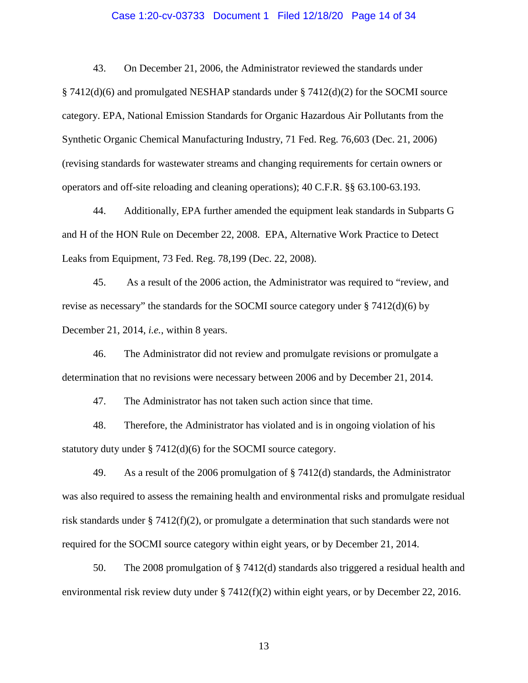# Case 1:20-cv-03733 Document 1 Filed 12/18/20 Page 14 of 34

43. On December 21, 2006, the Administrator reviewed the standards under § 7412(d)(6) and promulgated NESHAP standards under § 7412(d)(2) for the SOCMI source category. EPA, National Emission Standards for Organic Hazardous Air Pollutants from the Synthetic Organic Chemical Manufacturing Industry, 71 Fed. Reg. 76,603 (Dec. 21, 2006) (revising standards for wastewater streams and changing requirements for certain owners or operators and off-site reloading and cleaning operations); 40 C.F.R. §§ 63.100-63.193.

44. Additionally, EPA further amended the equipment leak standards in Subparts G and H of the HON Rule on December 22, 2008. EPA, Alternative Work Practice to Detect Leaks from Equipment, 73 Fed. Reg. 78,199 (Dec. 22, 2008).

45. As a result of the 2006 action, the Administrator was required to "review, and revise as necessary" the standards for the SOCMI source category under  $\S 7412(d)(6)$  by December 21, 2014, *i.e.*, within 8 years.

46. The Administrator did not review and promulgate revisions or promulgate a determination that no revisions were necessary between 2006 and by December 21, 2014.

47. The Administrator has not taken such action since that time.

48. Therefore, the Administrator has violated and is in ongoing violation of his statutory duty under § 7412(d)(6) for the SOCMI source category.

49. As a result of the 2006 promulgation of § 7412(d) standards, the Administrator was also required to assess the remaining health and environmental risks and promulgate residual risk standards under § 7412(f)(2), or promulgate a determination that such standards were not required for the SOCMI source category within eight years, or by December 21, 2014.

50. The 2008 promulgation of § 7412(d) standards also triggered a residual health and environmental risk review duty under  $\S 7412(f)(2)$  within eight years, or by December 22, 2016.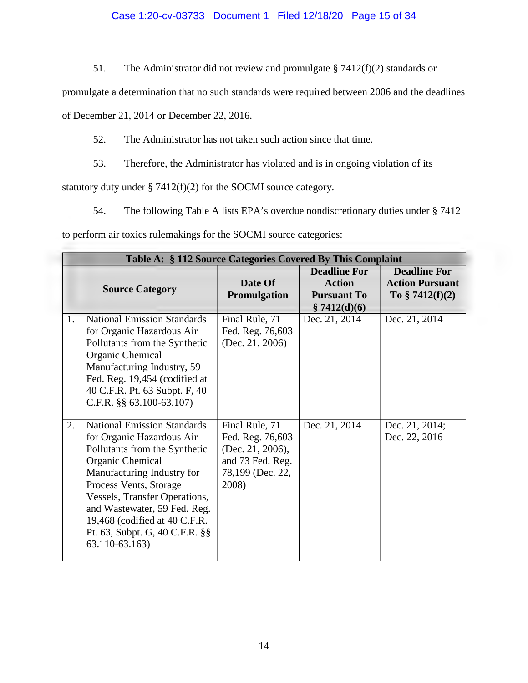# Case 1:20-cv-03733 Document 1 Filed 12/18/20 Page 15 of 34

51. The Administrator did not review and promulgate § 7412(f)(2) standards or

promulgate a determination that no such standards were required between 2006 and the deadlines

of December 21, 2014 or December 22, 2016.

52. The Administrator has not taken such action since that time.

53. Therefore, the Administrator has violated and is in ongoing violation of its

<span id="page-14-0"></span>statutory duty under § 7412(f)(2) for the SOCMI source category.

54. The following Table A lists EPA's overdue nondiscretionary duties under § 7412

to perform air toxics rulemakings for the SOCMI source categories:

|    | Table A: § 112 Source Categories Covered By This Complaint                                                                                                                                                                                                                                                                         |                                                                                                         |                                                            |                                                                    |  |  |  |  |
|----|------------------------------------------------------------------------------------------------------------------------------------------------------------------------------------------------------------------------------------------------------------------------------------------------------------------------------------|---------------------------------------------------------------------------------------------------------|------------------------------------------------------------|--------------------------------------------------------------------|--|--|--|--|
|    | <b>Source Category</b>                                                                                                                                                                                                                                                                                                             | Date Of<br>Promulgation                                                                                 | <b>Deadline For</b><br><b>Action</b><br><b>Pursuant To</b> | <b>Deadline For</b><br><b>Action Pursuant</b><br>To $§ 7412(f)(2)$ |  |  |  |  |
| 1. | <b>National Emission Standards</b>                                                                                                                                                                                                                                                                                                 |                                                                                                         | \$7412(d)(6)                                               | Dec. 21, 2014                                                      |  |  |  |  |
|    | for Organic Hazardous Air<br>Pollutants from the Synthetic<br>Organic Chemical<br>Manufacturing Industry, 59<br>Fed. Reg. 19,454 (codified at<br>40 C.F.R. Pt. 63 Subpt. F, 40<br>C.F.R. $\S$ § 63.100-63.107)                                                                                                                     | Final Rule, 71<br>Fed. Reg. 76,603<br>(Dec. 21, 2006)                                                   | Dec. 21, 2014                                              |                                                                    |  |  |  |  |
| 2. | <b>National Emission Standards</b><br>for Organic Hazardous Air<br>Pollutants from the Synthetic<br>Organic Chemical<br>Manufacturing Industry for<br>Process Vents, Storage<br>Vessels, Transfer Operations,<br>and Wastewater, 59 Fed. Reg.<br>19,468 (codified at 40 C.F.R.<br>Pt. 63, Subpt. G, 40 C.F.R. §§<br>63.110-63.163) | Final Rule, 71<br>Fed. Reg. 76,603<br>(Dec. 21, 2006),<br>and 73 Fed. Reg.<br>78,199 (Dec. 22,<br>2008) | Dec. 21, 2014                                              | Dec. 21, 2014;<br>Dec. 22, 2016                                    |  |  |  |  |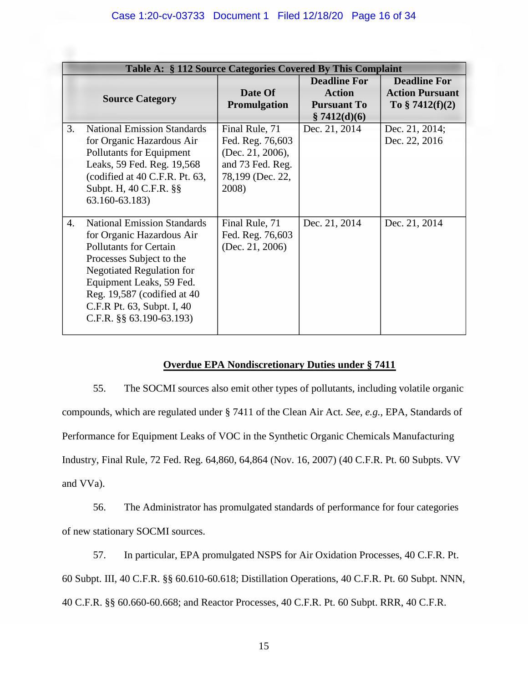| Table A: § 112 Source Categories Covered By This Complaint |                                                                                                                                                                                                                                                                                     |                                                                                                         |                                                                            |                                                                   |  |  |  |
|------------------------------------------------------------|-------------------------------------------------------------------------------------------------------------------------------------------------------------------------------------------------------------------------------------------------------------------------------------|---------------------------------------------------------------------------------------------------------|----------------------------------------------------------------------------|-------------------------------------------------------------------|--|--|--|
|                                                            | <b>Source Category</b>                                                                                                                                                                                                                                                              | Date Of<br>Promulgation                                                                                 | <b>Deadline For</b><br><b>Action</b><br><b>Pursuant To</b><br>\$7412(d)(6) | <b>Deadline For</b><br><b>Action Pursuant</b><br>To $$7412(f)(2)$ |  |  |  |
| 3.                                                         | <b>National Emission Standards</b><br>for Organic Hazardous Air<br>Pollutants for Equipment<br>Leaks, 59 Fed. Reg. 19,568<br>(codified at 40 C.F.R. Pt. 63,<br>Subpt. H, 40 C.F.R. §§<br>63.160-63.183)                                                                             | Final Rule, 71<br>Fed. Reg. 76,603<br>(Dec. 21, 2006),<br>and 73 Fed. Reg.<br>78,199 (Dec. 22,<br>2008) | Dec. 21, 2014                                                              | Dec. 21, 2014;<br>Dec. 22, 2016                                   |  |  |  |
| $\overline{4}$ .                                           | <b>National Emission Standards</b><br>for Organic Hazardous Air<br>Pollutants for Certain<br>Processes Subject to the<br><b>Negotiated Regulation for</b><br>Equipment Leaks, 59 Fed.<br>Reg. 19,587 (codified at 40)<br>C.F.R Pt. 63, Subpt. I, 40<br>C.F.R. $\S$ § 63.190-63.193) | Final Rule, 71<br>Fed. Reg. 76,603<br>(Dec. 21, 2006)                                                   | Dec. 21, 2014                                                              | Dec. 21, 2014                                                     |  |  |  |

# **Overdue EPA Nondiscretionary Duties under § 7411**

55. The SOCMI sources also emit other types of pollutants, including volatile organic compounds, which are regulated under § 7411 of the Clean Air Act. *See, e.g.*, EPA, Standards of Performance for Equipment Leaks of VOC in the Synthetic Organic Chemicals Manufacturing Industry, Final Rule, 72 Fed. Reg. 64,860, 64,864 (Nov. 16, 2007) (40 C.F.R. Pt. 60 Subpts. VV and VVa).

56. The Administrator has promulgated standards of performance for four categories of new stationary SOCMI sources.

57. In particular, EPA promulgated NSPS for Air Oxidation Processes, 40 C.F.R. Pt. 60 Subpt. III, 40 C.F.R. §§ 60.610-60.618; Distillation Operations, 40 C.F.R. Pt. 60 Subpt. NNN, 40 C.F.R. §§ 60.660-60.668; and Reactor Processes, 40 C.F.R. Pt. 60 Subpt. RRR, 40 C.F.R.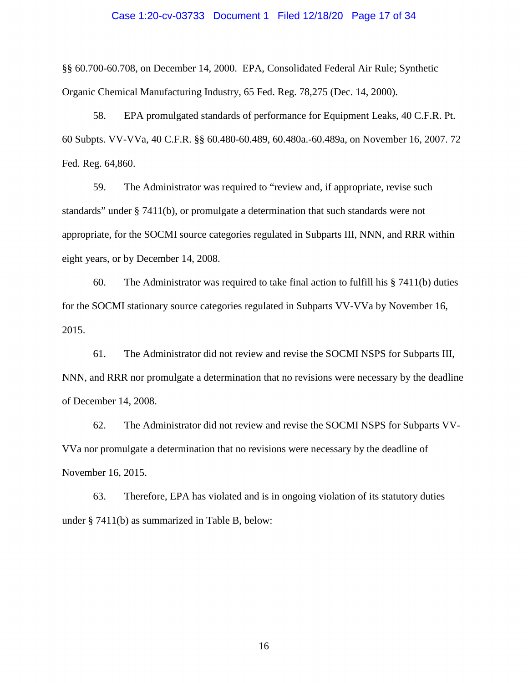### Case 1:20-cv-03733 Document 1 Filed 12/18/20 Page 17 of 34

§§ 60.700-60.708, on December 14, 2000. EPA, Consolidated Federal Air Rule; Synthetic Organic Chemical Manufacturing Industry, 65 Fed. Reg. 78,275 (Dec. 14, 2000).

58. EPA promulgated standards of performance for Equipment Leaks, 40 C.F.R. Pt. 60 Subpts. VV-VVa, 40 C.F.R. §§ 60.480-60.489, 60.480a.-60.489a, on November 16, 2007. 72 Fed. Reg. 64,860.

59. The Administrator was required to "review and, if appropriate, revise such standards" under § 7411(b), or promulgate a determination that such standards were not appropriate, for the SOCMI source categories regulated in Subparts III, NNN, and RRR within eight years, or by December 14, 2008.

60. The Administrator was required to take final action to fulfill his § 7411(b) duties for the SOCMI stationary source categories regulated in Subparts VV-VVa by November 16, 2015.

61. The Administrator did not review and revise the SOCMI NSPS for Subparts III, NNN, and RRR nor promulgate a determination that no revisions were necessary by the deadline of December 14, 2008.

62. The Administrator did not review and revise the SOCMI NSPS for Subparts VV-VVa nor promulgate a determination that no revisions were necessary by the deadline of November 16, 2015.

<span id="page-16-0"></span>63. Therefore, EPA has violated and is in ongoing violation of its statutory duties under § 7411(b) as summarized in Table B, below: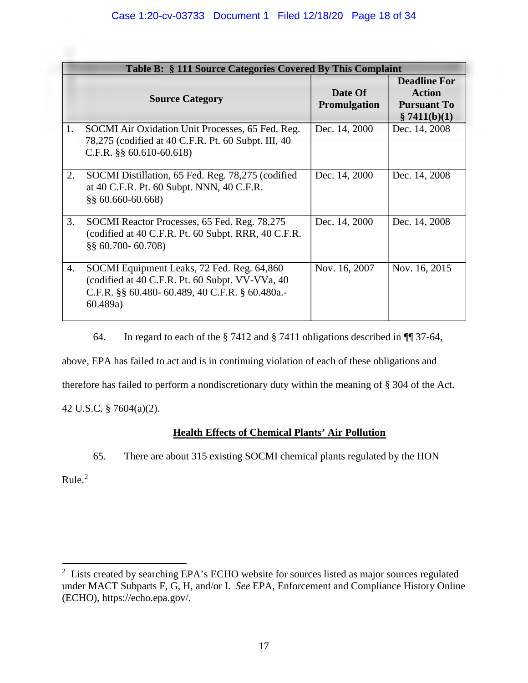| Table B: § 111 Source Categories Covered By This Complaint |                                                                                                                                                              |                                |                                                                            |  |  |  |
|------------------------------------------------------------|--------------------------------------------------------------------------------------------------------------------------------------------------------------|--------------------------------|----------------------------------------------------------------------------|--|--|--|
|                                                            | <b>Source Category</b>                                                                                                                                       | Date Of<br><b>Promulgation</b> | <b>Deadline For</b><br><b>Action</b><br><b>Pursuant To</b><br>\$7411(b)(1) |  |  |  |
| 1.                                                         | SOCMI Air Oxidation Unit Processes, 65 Fed. Reg.<br>78,275 (codified at 40 C.F.R. Pt. 60 Subpt. III, 40<br>C.F.R. $\S$ § 60.610-60.618)                      | Dec. 14, 2000                  | Dec. 14, 2008                                                              |  |  |  |
| 2.                                                         | SOCMI Distillation, 65 Fed. Reg. 78,275 (codified<br>at 40 C.F.R. Pt. 60 Subpt. NNN, 40 C.F.R.<br>$\S$ § 60.660-60.668)                                      | Dec. 14, 2000                  | Dec. 14, 2008                                                              |  |  |  |
| 3.                                                         | SOCMI Reactor Processes, 65 Fed. Reg. 78,275<br>(codified at 40 C.F.R. Pt. 60 Subpt. RRR, 40 C.F.R.<br>$\S$ § 60.700-60.708)                                 | Dec. 14, 2000                  | Dec. 14, 2008                                                              |  |  |  |
| 4.                                                         | SOCMI Equipment Leaks, 72 Fed. Reg. 64,860<br>(codified at 40 C.F.R. Pt. 60 Subpt. VV-VVa, 40<br>C.F.R. §§ 60.480- 60.489, 40 C.F.R. § 60.480a.-<br>60.489a) | Nov. 16, 2007                  | Nov. 16, 2015                                                              |  |  |  |

64. In regard to each of the § 7412 and § 7411 obligations described in ¶¶ [37-](#page-11-0)[64,](#page-16-0)

above, EPA has failed to act and is in continuing violation of each of these obligations and

therefore has failed to perform a nondiscretionary duty within the meaning of § 304 of the Act.

42 U.S.C. § 7604(a)(2).

# **Health Effects of Chemical Plants' Air Pollution**

65. There are about 315 existing SOCMI chemical plants regulated by the HON

Rule. $2$ 

<span id="page-17-0"></span> $\overline{a}$  $2$  Lists created by searching EPA's ECHO website for sources listed as major sources regulated under MACT Subparts F, G, H, and/or I. *See* EPA, Enforcement and Compliance History Online (ECHO), [https://echo.epa.gov/.](https://echo.epa.gov/)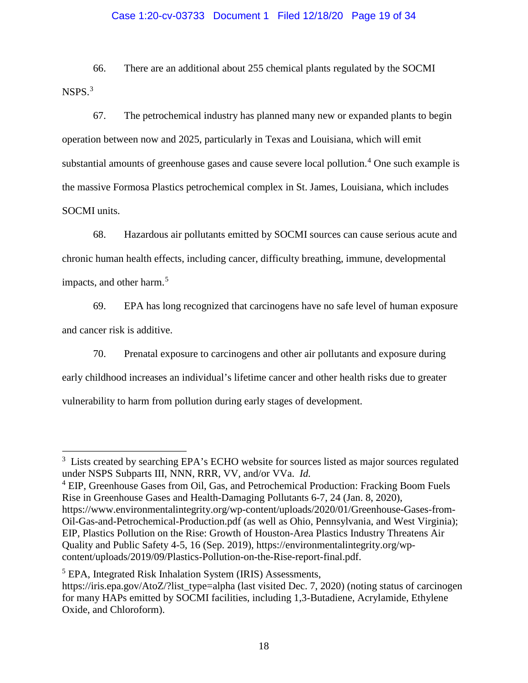# Case 1:20-cv-03733 Document 1 Filed 12/18/20 Page 19 of 34

66. There are an additional about 255 chemical plants regulated by the SOCMI NSPS.[3](#page-18-0)

67. The petrochemical industry has planned many new or expanded plants to begin operation between now and 2025, particularly in Texas and Louisiana, which will emit substantial amounts of greenhouse gases and cause severe local pollution.<sup>[4](#page-18-1)</sup> One such example is the massive Formosa Plastics petrochemical complex in St. James, Louisiana, which includes SOCMI units.

68. Hazardous air pollutants emitted by SOCMI sources can cause serious acute and chronic human health effects, including cancer, difficulty breathing, immune, developmental impacts, and other harm.<sup>[5](#page-18-2)</sup>

69. EPA has long recognized that carcinogens have no safe level of human exposure and cancer risk is additive.

70. Prenatal exposure to carcinogens and other air pollutants and exposure during early childhood increases an individual's lifetime cancer and other health risks due to greater vulnerability to harm from pollution during early stages of development.

<span id="page-18-1"></span><sup>4</sup> EIP, Greenhouse Gases from Oil, Gas, and Petrochemical Production: Fracking Boom Fuels Rise in Greenhouse Gases and Health-Damaging Pollutants 6-7, 24 (Jan. 8, 2020), [https://www.environmentalintegrity.org/wp-content/uploads/2020/01/Greenhouse-Gases-from-](https://www.environmentalintegrity.org/wp-content/uploads/2020/01/Greenhouse-Gases-from-Oil-Gas-and-Petrochemical-Production.pdf)[Oil-Gas-and-Petrochemical-Production.pdf](https://www.environmentalintegrity.org/wp-content/uploads/2020/01/Greenhouse-Gases-from-Oil-Gas-and-Petrochemical-Production.pdf) (as well as Ohio, Pennsylvania, and West Virginia); EIP, Plastics Pollution on the Rise: Growth of Houston-Area Plastics Industry Threatens Air

Quality and Public Safety 4-5, 16 (Sep. 2019), [https://environmentalintegrity.org/wp](https://environmentalintegrity.org/wp-content/uploads/2019/09/Plastics-Pollution-on-the-Rise-report-final.pdf)[content/uploads/2019/09/Plastics-Pollution-on-the-Rise-report-final.pdf.](https://environmentalintegrity.org/wp-content/uploads/2019/09/Plastics-Pollution-on-the-Rise-report-final.pdf)

 $\overline{a}$ 

<span id="page-18-0"></span><sup>&</sup>lt;sup>3</sup> Lists created by searching EPA's ECHO website for sources listed as major sources regulated under NSPS Subparts III, NNN, RRR, VV, and/or VVa. *Id.*

<span id="page-18-2"></span><sup>&</sup>lt;sup>5</sup> EPA, Integrated Risk Inhalation System (IRIS) Assessments,

[https://iris.epa.gov/AtoZ/?list\\_type=alpha](https://iris.epa.gov/AtoZ/?list_type=alpha) (last visited Dec. 7, 2020) (noting status of carcinogen for many HAPs emitted by SOCMI facilities, including 1,3-Butadiene, Acrylamide, Ethylene Oxide, and Chloroform).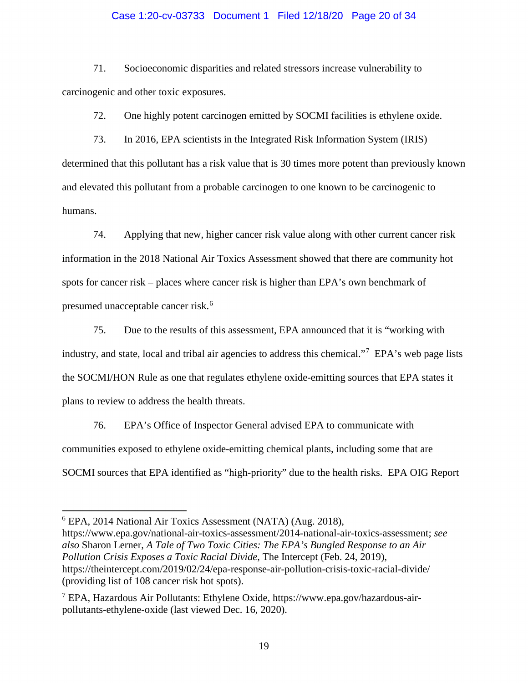# Case 1:20-cv-03733 Document 1 Filed 12/18/20 Page 20 of 34

71. Socioeconomic disparities and related stressors increase vulnerability to carcinogenic and other toxic exposures.

72. One highly potent carcinogen emitted by SOCMI facilities is ethylene oxide.

73. In 2016, EPA scientists in the Integrated Risk Information System (IRIS) determined that this pollutant has a risk value that is 30 times more potent than previously known and elevated this pollutant from a probable carcinogen to one known to be carcinogenic to humans.

74. Applying that new, higher cancer risk value along with other current cancer risk information in the 2018 National Air Toxics Assessment showed that there are community hot spots for cancer risk – places where cancer risk is higher than EPA's own benchmark of presumed unacceptable cancer risk. [6](#page-19-0)

75. Due to the results of this assessment, EPA announced that it is "working with industry, and state, local and tribal air agencies to address this chemical."<sup>[7](#page-19-1)</sup> EPA's web page lists the SOCMI/HON Rule as one that regulates ethylene oxide-emitting sources that EPA states it plans to review to address the health threats.

76. EPA's Office of Inspector General advised EPA to communicate with communities exposed to ethylene oxide-emitting chemical plants, including some that are SOCMI sources that EPA identified as "high-priority" due to the health risks. EPA OIG Report

 $\overline{a}$ 

<span id="page-19-0"></span><sup>6</sup> EPA, 2014 National Air Toxics Assessment (NATA) (Aug. 2018),

[https://www.epa.gov/national-air-toxics-assessment/2014-national-air-toxics-assessment;](https://www.epa.gov/national-air-toxics-assessment/2014-national-air-toxics-assessment) *see also* Sharon Lerner, *A Tale of Two Toxic Cities: The EPA's Bungled Response to an Air Pollution Crisis Exposes a Toxic Racial Divide*, The Intercept (Feb. 24, 2019), <https://theintercept.com/2019/02/24/epa-response-air-pollution-crisis-toxic-racial-divide/> (providing list of 108 cancer risk hot spots).

<span id="page-19-1"></span><sup>&</sup>lt;sup>7</sup> EPA, Hazardous Air Pollutants: Ethylene Oxide, [https://www.epa.gov/hazardous-air](https://www.epa.gov/hazardous-air-pollutants-ethylene-oxide)[pollutants-ethylene-oxide](https://www.epa.gov/hazardous-air-pollutants-ethylene-oxide) (last viewed Dec. 16, 2020).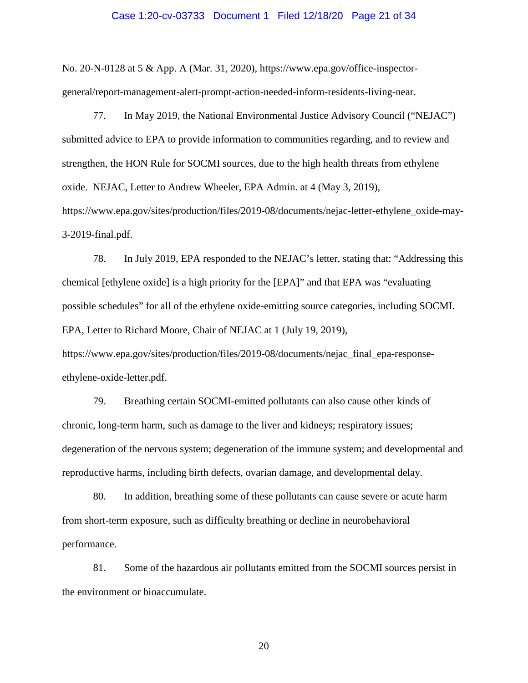# Case 1:20-cv-03733 Document 1 Filed 12/18/20 Page 21 of 34

No. 20-N-0128 at 5 & App. A (Mar. 31, 2020), [https://www.epa.gov/office-inspector](https://www.epa.gov/office-inspector-general/report-management-alert-prompt-action-needed-inform-residents-living-near)[general/report-management-alert-prompt-action-needed-inform-residents-living-near.](https://www.epa.gov/office-inspector-general/report-management-alert-prompt-action-needed-inform-residents-living-near)

77. In May 2019, the National Environmental Justice Advisory Council ("NEJAC") submitted advice to EPA to provide information to communities regarding, and to review and strengthen, the HON Rule for SOCMI sources, due to the high health threats from ethylene oxide. NEJAC, Letter to Andrew Wheeler, EPA Admin. at 4 (May 3, 2019), [https://www.epa.gov/sites/production/files/2019-08/documents/nejac-letter-ethylene\\_oxide-may-](https://www.epa.gov/sites/production/files/2019-08/documents/nejac-letter-ethylene_oxide-may-3-2019-final.pdf)[3-2019-final.pdf.](https://www.epa.gov/sites/production/files/2019-08/documents/nejac-letter-ethylene_oxide-may-3-2019-final.pdf)

78. In July 2019, EPA responded to the NEJAC's letter, stating that: "Addressing this chemical [ethylene oxide] is a high priority for the [EPA]" and that EPA was "evaluating possible schedules" for all of the ethylene oxide-emitting source categories, including SOCMI. EPA, Letter to Richard Moore, Chair of NEJAC at 1 (July 19, 2019),

[https://www.epa.gov/sites/production/files/2019-08/documents/nejac\\_final\\_epa-response](https://www.epa.gov/sites/production/files/2019-08/documents/nejac_final_epa-response-ethylene-oxide-letter.pdf)[ethylene-oxide-letter.pdf.](https://www.epa.gov/sites/production/files/2019-08/documents/nejac_final_epa-response-ethylene-oxide-letter.pdf)

79. Breathing certain SOCMI-emitted pollutants can also cause other kinds of chronic, long-term harm, such as damage to the liver and kidneys; respiratory issues; degeneration of the nervous system; degeneration of the immune system; and developmental and reproductive harms, including birth defects, ovarian damage, and developmental delay.

80. In addition, breathing some of these pollutants can cause severe or acute harm from short-term exposure, such as difficulty breathing or decline in neurobehavioral performance.

81. Some of the hazardous air pollutants emitted from the SOCMI sources persist in the environment or bioaccumulate.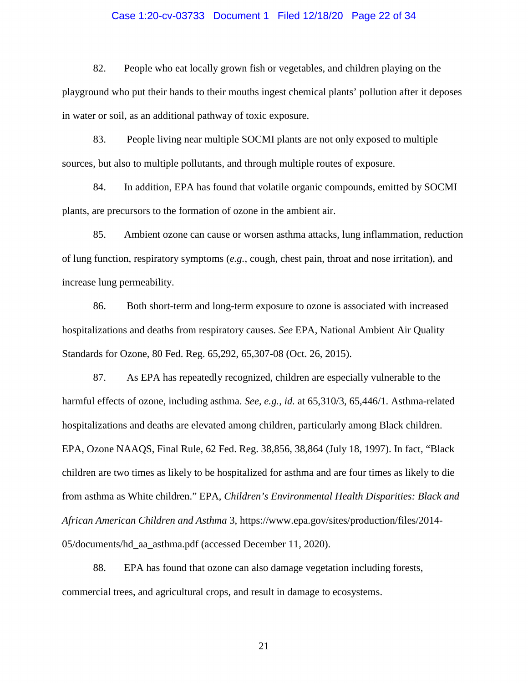# Case 1:20-cv-03733 Document 1 Filed 12/18/20 Page 22 of 34

82. People who eat locally grown fish or vegetables, and children playing on the playground who put their hands to their mouths ingest chemical plants' pollution after it deposes in water or soil, as an additional pathway of toxic exposure.

83. People living near multiple SOCMI plants are not only exposed to multiple sources, but also to multiple pollutants, and through multiple routes of exposure.

84. In addition, EPA has found that volatile organic compounds, emitted by SOCMI plants, are precursors to the formation of ozone in the ambient air.

85. Ambient ozone can cause or worsen asthma attacks, lung inflammation, reduction of lung function, respiratory symptoms (*e.g.*, cough, chest pain, throat and nose irritation), and increase lung permeability.

86. Both short-term and long-term exposure to ozone is associated with increased hospitalizations and deaths from respiratory causes. *See* EPA, National Ambient Air Quality Standards for Ozone, 80 Fed. Reg. 65,292, 65,307-08 (Oct. 26, 2015).

87. As EPA has repeatedly recognized, children are especially vulnerable to the harmful effects of ozone, including asthma. *See, e.g.*, *id.* at 65,310/3, 65,446/1. Asthma-related hospitalizations and deaths are elevated among children, particularly among Black children. EPA, Ozone NAAQS, Final Rule, 62 Fed. Reg. 38,856, 38,864 (July 18, 1997). In fact, "Black children are two times as likely to be hospitalized for asthma and are four times as likely to die from asthma as White children." EPA, *Children's Environmental Health Disparities: Black and African American Children and Asthma* 3, [https://www.epa.gov/sites/production/files/2014-](https://www.epa.gov/sites/production/files/2014-05/documents/hd_aa_asthma.pdf) [05/documents/hd\\_aa\\_asthma.pdf](https://www.epa.gov/sites/production/files/2014-05/documents/hd_aa_asthma.pdf) (accessed December 11, 2020).

88. EPA has found that ozone can also damage vegetation including forests, commercial trees, and agricultural crops, and result in damage to ecosystems.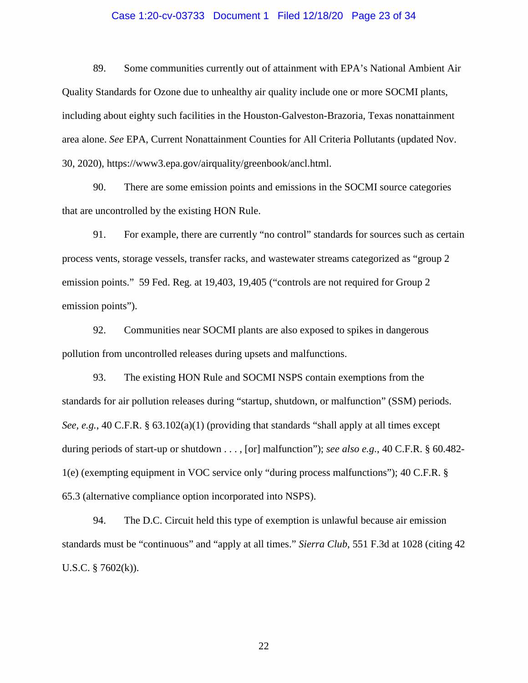# Case 1:20-cv-03733 Document 1 Filed 12/18/20 Page 23 of 34

89. Some communities currently out of attainment with EPA's National Ambient Air Quality Standards for Ozone due to unhealthy air quality include one or more SOCMI plants, including about eighty such facilities in the Houston-Galveston-Brazoria, Texas nonattainment area alone. *See* EPA, Current Nonattainment Counties for All Criteria Pollutants (updated Nov. 30, 2020), [https://www3.epa.gov/airquality/greenbook/ancl.html.](https://www3.epa.gov/airquality/greenbook/ancl.html)

90. There are some emission points and emissions in the SOCMI source categories that are uncontrolled by the existing HON Rule.

91. For example, there are currently "no control" standards for sources such as certain process vents, storage vessels, transfer racks, and wastewater streams categorized as "group 2 emission points." 59 Fed. Reg. at 19,403, 19,405 ("controls are not required for Group 2 emission points").

92. Communities near SOCMI plants are also exposed to spikes in dangerous pollution from uncontrolled releases during upsets and malfunctions.

93. The existing HON Rule and SOCMI NSPS contain exemptions from the standards for air pollution releases during "startup, shutdown, or malfunction" (SSM) periods. *See, e.g.*, 40 C.F.R. § 63.102(a)(1) (providing that standards "shall apply at all times except during periods of start-up or shutdown . . . , [or] malfunction"); *see also e.g.*, 40 C.F.R. § 60.482- 1(e) (exempting equipment in VOC service only "during process malfunctions"); 40 C.F.R. § 65.3 (alternative compliance option incorporated into NSPS).

94. The D.C. Circuit held this type of exemption is unlawful because air emission standards must be "continuous" and "apply at all times." *Sierra Club*, 551 F.3d at 1028 (citing 42 U.S.C.  $\S$  7602(k)).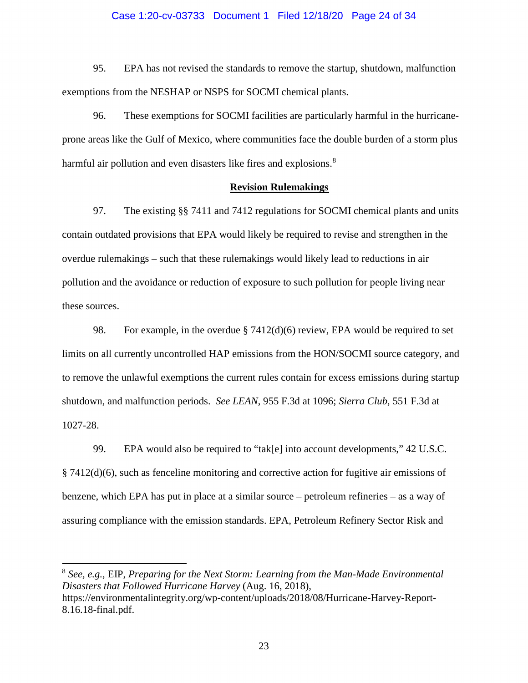# Case 1:20-cv-03733 Document 1 Filed 12/18/20 Page 24 of 34

95. EPA has not revised the standards to remove the startup, shutdown, malfunction exemptions from the NESHAP or NSPS for SOCMI chemical plants.

96. These exemptions for SOCMI facilities are particularly harmful in the hurricaneprone areas like the Gulf of Mexico, where communities face the double burden of a storm plus harmful air pollution and even disasters like fires and explosions.<sup>[8](#page-23-0)</sup>

# **Revision Rulemakings**

97. The existing §§ 7411 and 7412 regulations for SOCMI chemical plants and units contain outdated provisions that EPA would likely be required to revise and strengthen in the overdue rulemakings – such that these rulemakings would likely lead to reductions in air pollution and the avoidance or reduction of exposure to such pollution for people living near these sources.

98. For example, in the overdue § 7412(d)(6) review, EPA would be required to set limits on all currently uncontrolled HAP emissions from the HON/SOCMI source category, and to remove the unlawful exemptions the current rules contain for excess emissions during startup shutdown, and malfunction periods. *See LEAN*, 955 F.3d at 1096; *Sierra Club*, 551 F.3d at 1027-28.

99. EPA would also be required to "tak[e] into account developments," 42 U.S.C. § 7412(d)(6), such as fenceline monitoring and corrective action for fugitive air emissions of benzene, which EPA has put in place at a similar source – petroleum refineries – as a way of assuring compliance with the emission standards. EPA, Petroleum Refinery Sector Risk and

<span id="page-23-0"></span><sup>8</sup> *See, e.g.*, EIP, *Preparing for the Next Storm: Learning from the Man-Made Environmental Disasters that Followed Hurricane Harvey* (Aug. 16, 2018), [https://environmentalintegrity.org/wp-content/uploads/2018/08/Hurricane-Harvey-Report-](https://environmentalintegrity.org/wp-content/uploads/2018/08/Hurricane-Harvey-Report-8.16.18-final.pdf)[8.16.18-final.pdf.](https://environmentalintegrity.org/wp-content/uploads/2018/08/Hurricane-Harvey-Report-8.16.18-final.pdf)

 $\overline{a}$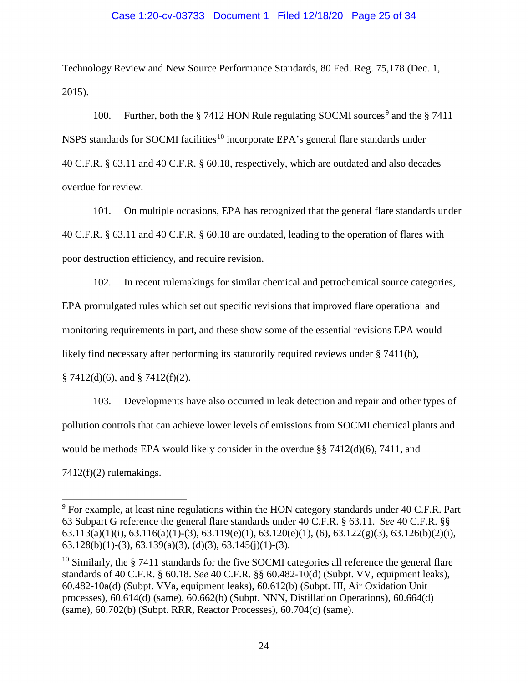# Case 1:20-cv-03733 Document 1 Filed 12/18/20 Page 25 of 34

Technology Review and New Source Performance Standards, 80 Fed. Reg. 75,178 (Dec. 1, 2015).

100. Further, both the  $\S 7412$  HON Rule regulating SOCMI sources<sup>[9](#page-24-0)</sup> and the  $\S 7411$ NSPS standards for SOCMI facilities<sup>[10](#page-24-1)</sup> incorporate EPA's general flare standards under 40 C.F.R. § 63.11 and 40 C.F.R. § 60.18, respectively, which are outdated and also decades overdue for review.

101. On multiple occasions, EPA has recognized that the general flare standards under 40 C.F.R. § 63.11 and 40 C.F.R. § 60.18 are outdated, leading to the operation of flares with poor destruction efficiency, and require revision.

102. In recent rulemakings for similar chemical and petrochemical source categories, EPA promulgated rules which set out specific revisions that improved flare operational and monitoring requirements in part, and these show some of the essential revisions EPA would likely find necessary after performing its statutorily required reviews under § 7411(b),  $§ 7412(d)(6)$ , and  $§ 7412(f)(2)$ .

103. Developments have also occurred in leak detection and repair and other types of pollution controls that can achieve lower levels of emissions from SOCMI chemical plants and would be methods EPA would likely consider in the overdue §§ 7412(d)(6), 7411, and

 $7412(f)(2)$  rulemakings.

 $\overline{a}$ 

<span id="page-24-0"></span> $9$  For example, at least nine regulations within the HON category standards under 40 C.F.R. Part 63 Subpart G reference the general flare standards under 40 C.F.R. § 63.11. *See* 40 C.F.R. §§  $63.113(a)(1)(i)$ ,  $63.116(a)(1)-(3)$ ,  $63.119(e)(1)$ ,  $63.120(e)(1)$ ,  $(6)$ ,  $63.122(g)(3)$ ,  $63.126(b)(2)(i)$ , 63.128(b)(1)-(3), 63.139(a)(3), (d)(3), 63.145(j)(1)-(3).

<span id="page-24-1"></span> $10$  Similarly, the § 7411 standards for the five SOCMI categories all reference the general flare standards of 40 C.F.R. § 60.18. *See* 40 C.F.R. §§ 60.482-10(d) (Subpt. VV, equipment leaks), 60.482-10a(d) (Subpt. VVa, equipment leaks), 60.612(b) (Subpt. III, Air Oxidation Unit processes), 60.614(d) (same), 60.662(b) (Subpt. NNN, Distillation Operations), 60.664(d) (same), 60.702(b) (Subpt. RRR, Reactor Processes), 60.704(c) (same).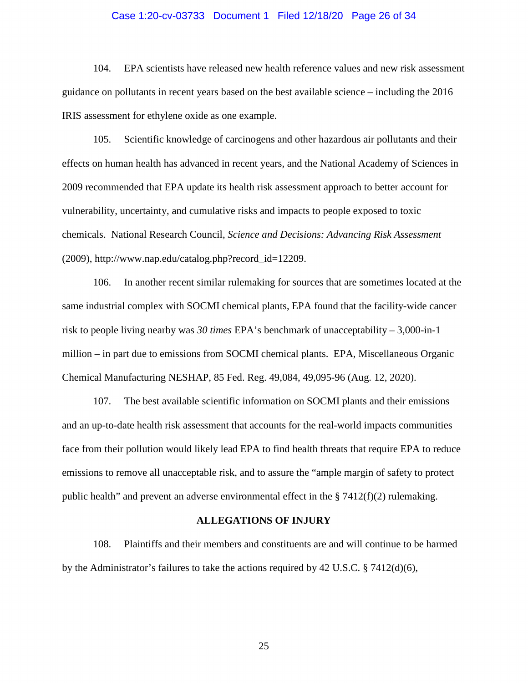# Case 1:20-cv-03733 Document 1 Filed 12/18/20 Page 26 of 34

104. EPA scientists have released new health reference values and new risk assessment guidance on pollutants in recent years based on the best available science – including the 2016 IRIS assessment for ethylene oxide as one example.

105. Scientific knowledge of carcinogens and other hazardous air pollutants and their effects on human health has advanced in recent years, and the National Academy of Sciences in 2009 recommended that EPA update its health risk assessment approach to better account for vulnerability, uncertainty, and cumulative risks and impacts to people exposed to toxic chemicals. National Research Council, *Science and Decisions: Advancing Risk Assessment* (2009), [http://www.nap.edu/catalog.php?record\\_id=12209.](http://www.nap.edu/catalog.php?record_id=12209)

106. In another recent similar rulemaking for sources that are sometimes located at the same industrial complex with SOCMI chemical plants, EPA found that the facility-wide cancer risk to people living nearby was *30 times* EPA's benchmark of unacceptability – 3,000-in-1 million – in part due to emissions from SOCMI chemical plants. EPA, Miscellaneous Organic Chemical Manufacturing NESHAP, 85 Fed. Reg. 49,084, 49,095-96 (Aug. 12, 2020).

107. The best available scientific information on SOCMI plants and their emissions and an up-to-date health risk assessment that accounts for the real-world impacts communities face from their pollution would likely lead EPA to find health threats that require EPA to reduce emissions to remove all unacceptable risk, and to assure the "ample margin of safety to protect public health" and prevent an adverse environmental effect in the  $\S 7412(f)(2)$  rulemaking.

### **ALLEGATIONS OF INJURY**

108. Plaintiffs and their members and constituents are and will continue to be harmed by the Administrator's failures to take the actions required by 42 U.S.C. § 7412(d)(6),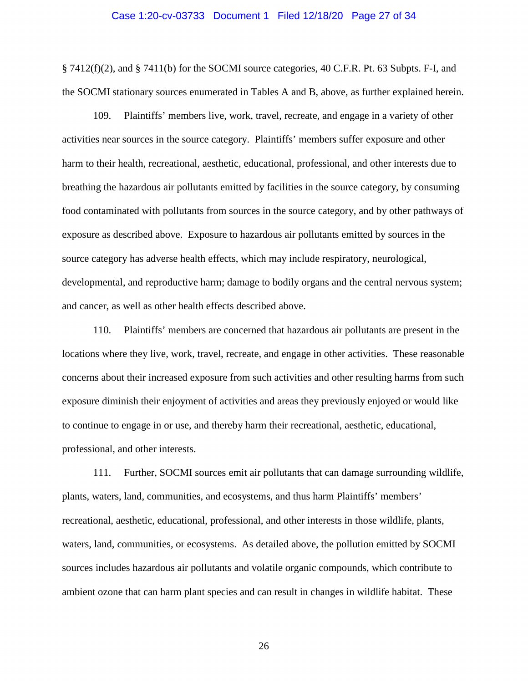# Case 1:20-cv-03733 Document 1 Filed 12/18/20 Page 27 of 34

§ 7412(f)(2), and § 7411(b) for the SOCMI source categories, 40 C.F.R. Pt. 63 Subpts. F-I, and the SOCMI stationary sources enumerated in Tables A and B, above, as further explained herein.

109. Plaintiffs' members live, work, travel, recreate, and engage in a variety of other activities near sources in the source category. Plaintiffs' members suffer exposure and other harm to their health, recreational, aesthetic, educational, professional, and other interests due to breathing the hazardous air pollutants emitted by facilities in the source category, by consuming food contaminated with pollutants from sources in the source category, and by other pathways of exposure as described above. Exposure to hazardous air pollutants emitted by sources in the source category has adverse health effects, which may include respiratory, neurological, developmental, and reproductive harm; damage to bodily organs and the central nervous system; and cancer, as well as other health effects described above.

110. Plaintiffs' members are concerned that hazardous air pollutants are present in the locations where they live, work, travel, recreate, and engage in other activities. These reasonable concerns about their increased exposure from such activities and other resulting harms from such exposure diminish their enjoyment of activities and areas they previously enjoyed or would like to continue to engage in or use, and thereby harm their recreational, aesthetic, educational, professional, and other interests.

111. Further, SOCMI sources emit air pollutants that can damage surrounding wildlife, plants, waters, land, communities, and ecosystems, and thus harm Plaintiffs' members' recreational, aesthetic, educational, professional, and other interests in those wildlife, plants, waters, land, communities, or ecosystems. As detailed above, the pollution emitted by SOCMI sources includes hazardous air pollutants and volatile organic compounds, which contribute to ambient ozone that can harm plant species and can result in changes in wildlife habitat. These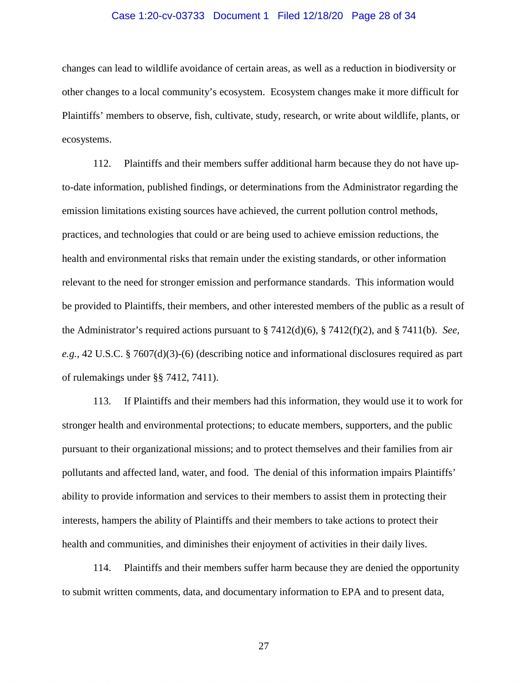# Case 1:20-cv-03733 Document 1 Filed 12/18/20 Page 28 of 34

changes can lead to wildlife avoidance of certain areas, as well as a reduction in biodiversity or other changes to a local community's ecosystem. Ecosystem changes make it more difficult for Plaintiffs' members to observe, fish, cultivate, study, research, or write about wildlife, plants, or ecosystems.

112. Plaintiffs and their members suffer additional harm because they do not have upto-date information, published findings, or determinations from the Administrator regarding the emission limitations existing sources have achieved, the current pollution control methods, practices, and technologies that could or are being used to achieve emission reductions, the health and environmental risks that remain under the existing standards, or other information relevant to the need for stronger emission and performance standards. This information would be provided to Plaintiffs, their members, and other interested members of the public as a result of the Administrator's required actions pursuant to § 7412(d)(6), § 7412(f)(2), and § 7411(b). *See, e.g.*, 42 U.S.C. § 7607(d)(3)-(6) (describing notice and informational disclosures required as part of rulemakings under §§ 7412, 7411).

113. If Plaintiffs and their members had this information, they would use it to work for stronger health and environmental protections; to educate members, supporters, and the public pursuant to their organizational missions; and to protect themselves and their families from air pollutants and affected land, water, and food. The denial of this information impairs Plaintiffs' ability to provide information and services to their members to assist them in protecting their interests, hampers the ability of Plaintiffs and their members to take actions to protect their health and communities, and diminishes their enjoyment of activities in their daily lives.

114. Plaintiffs and their members suffer harm because they are denied the opportunity to submit written comments, data, and documentary information to EPA and to present data,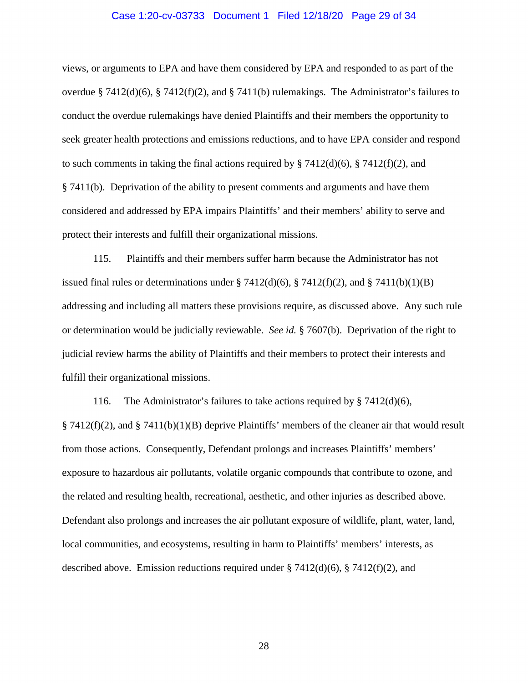# Case 1:20-cv-03733 Document 1 Filed 12/18/20 Page 29 of 34

views, or arguments to EPA and have them considered by EPA and responded to as part of the overdue § 7412(d)(6), § 7412(f)(2), and § 7411(b) rulemakings. The Administrator's failures to conduct the overdue rulemakings have denied Plaintiffs and their members the opportunity to seek greater health protections and emissions reductions, and to have EPA consider and respond to such comments in taking the final actions required by § 7412(d)(6), § 7412(f)(2), and § 7411(b). Deprivation of the ability to present comments and arguments and have them considered and addressed by EPA impairs Plaintiffs' and their members' ability to serve and protect their interests and fulfill their organizational missions.

115. Plaintiffs and their members suffer harm because the Administrator has not issued final rules or determinations under § 7412(d)(6), § 7412(f)(2), and § 7411(b)(1)(B) addressing and including all matters these provisions require, as discussed above. Any such rule or determination would be judicially reviewable. *See id.* § 7607(b). Deprivation of the right to judicial review harms the ability of Plaintiffs and their members to protect their interests and fulfill their organizational missions.

116. The Administrator's failures to take actions required by § 7412(d)(6),  $§ 7412(f)(2)$ , and § 7411(b)(1)(B) deprive Plaintiffs' members of the cleaner air that would result from those actions. Consequently, Defendant prolongs and increases Plaintiffs' members' exposure to hazardous air pollutants, volatile organic compounds that contribute to ozone, and the related and resulting health, recreational, aesthetic, and other injuries as described above. Defendant also prolongs and increases the air pollutant exposure of wildlife, plant, water, land, local communities, and ecosystems, resulting in harm to Plaintiffs' members' interests, as described above. Emission reductions required under  $\S 7412(d)(6)$ ,  $\S 7412(f)(2)$ , and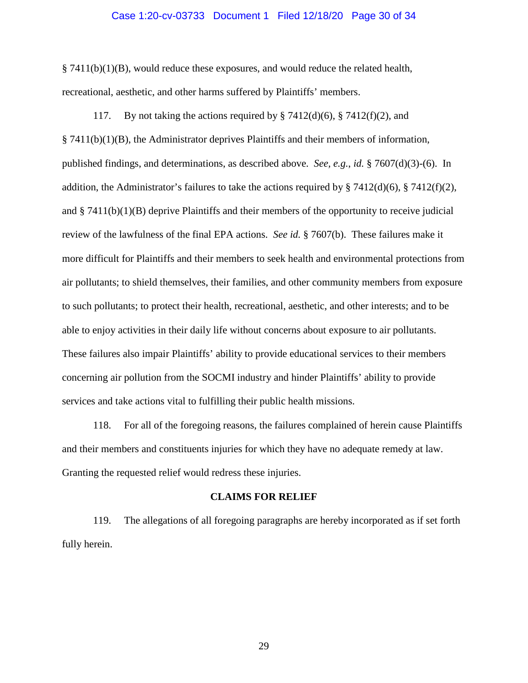# Case 1:20-cv-03733 Document 1 Filed 12/18/20 Page 30 of 34

§ 7411(b)(1)(B), would reduce these exposures, and would reduce the related health, recreational, aesthetic, and other harms suffered by Plaintiffs' members.

117. By not taking the actions required by  $\S 7412(d)(6)$ ,  $\S 7412(f)(2)$ , and  $§ 7411(b)(1)(B)$ , the Administrator deprives Plaintiffs and their members of information, published findings, and determinations, as described above. *See, e.g.*, *id.* § 7607(d)(3)-(6). In addition, the Administrator's failures to take the actions required by § 7412(d)(6), § 7412(f)(2), and  $\S$  7411(b)(1)(B) deprive Plaintiffs and their members of the opportunity to receive judicial review of the lawfulness of the final EPA actions. *See id.* § 7607(b). These failures make it more difficult for Plaintiffs and their members to seek health and environmental protections from air pollutants; to shield themselves, their families, and other community members from exposure to such pollutants; to protect their health, recreational, aesthetic, and other interests; and to be able to enjoy activities in their daily life without concerns about exposure to air pollutants. These failures also impair Plaintiffs' ability to provide educational services to their members concerning air pollution from the SOCMI industry and hinder Plaintiffs' ability to provide services and take actions vital to fulfilling their public health missions.

118. For all of the foregoing reasons, the failures complained of herein cause Plaintiffs and their members and constituents injuries for which they have no adequate remedy at law. Granting the requested relief would redress these injuries.

#### **CLAIMS FOR RELIEF**

119. The allegations of all foregoing paragraphs are hereby incorporated as if set forth fully herein.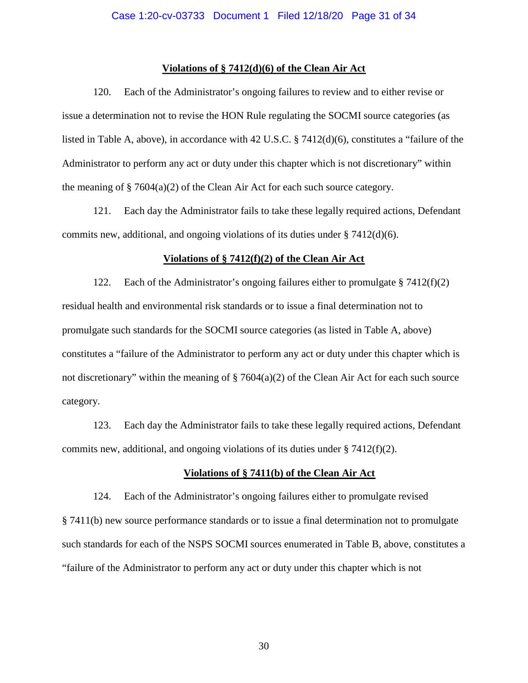# **Violations of § 7412(d)(6) of the Clean Air Act**

120. Each of the Administrator's ongoing failures to review and to either revise or issue a determination not to revise the HON Rule regulating the SOCMI source categories (as listed in Table A, above), in accordance with 42 U.S.C. § 7412(d)(6), constitutes a "failure of the Administrator to perform any act or duty under this chapter which is not discretionary" within the meaning of  $\S 7604(a)(2)$  of the Clean Air Act for each such source category.

121. Each day the Administrator fails to take these legally required actions, Defendant commits new, additional, and ongoing violations of its duties under § 7412(d)(6).

# **Violations of § 7412(f)(2) of the Clean Air Act**

122. Each of the Administrator's ongoing failures either to promulgate § 7412(f)(2) residual health and environmental risk standards or to issue a final determination not to promulgate such standards for the SOCMI source categories (as listed in Table A, above) constitutes a "failure of the Administrator to perform any act or duty under this chapter which is not discretionary" within the meaning of  $\S 7604(a)(2)$  of the Clean Air Act for each such source category.

123. Each day the Administrator fails to take these legally required actions, Defendant commits new, additional, and ongoing violations of its duties under  $\S$  7412(f)(2).

# **Violations of § 7411(b) of the Clean Air Act**

124. Each of the Administrator's ongoing failures either to promulgate revised § 7411(b) new source performance standards or to issue a final determination not to promulgate such standards for each of the NSPS SOCMI sources enumerated in Table B, above, constitutes a "failure of the Administrator to perform any act or duty under this chapter which is not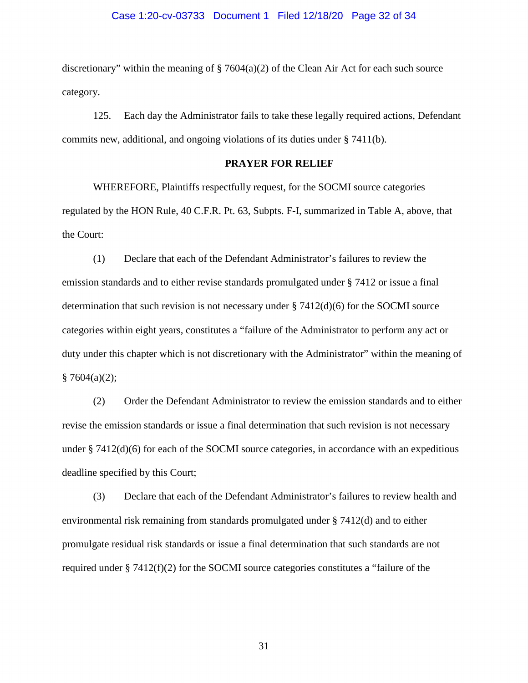# Case 1:20-cv-03733 Document 1 Filed 12/18/20 Page 32 of 34

discretionary" within the meaning of  $\S 7604(a)(2)$  of the Clean Air Act for each such source category.

125. Each day the Administrator fails to take these legally required actions, Defendant commits new, additional, and ongoing violations of its duties under § 7411(b).

# **PRAYER FOR RELIEF**

WHEREFORE, Plaintiffs respectfully request, for the SOCMI source categories regulated by the HON Rule, 40 C.F.R. Pt. 63, Subpts. F-I, summarized in Table A, above, that the Court:

(1) Declare that each of the Defendant Administrator's failures to review the emission standards and to either revise standards promulgated under § 7412 or issue a final determination that such revision is not necessary under  $\S 7412(d)(6)$  for the SOCMI source categories within eight years, constitutes a "failure of the Administrator to perform any act or duty under this chapter which is not discretionary with the Administrator" within the meaning of  $§ 7604(a)(2);$ 

(2) Order the Defendant Administrator to review the emission standards and to either revise the emission standards or issue a final determination that such revision is not necessary under  $\S 7412(d)(6)$  for each of the SOCMI source categories, in accordance with an expeditious deadline specified by this Court;

 (3) Declare that each of the Defendant Administrator's failures to review health and environmental risk remaining from standards promulgated under § 7412(d) and to either promulgate residual risk standards or issue a final determination that such standards are not required under § 7412(f)(2) for the SOCMI source categories constitutes a "failure of the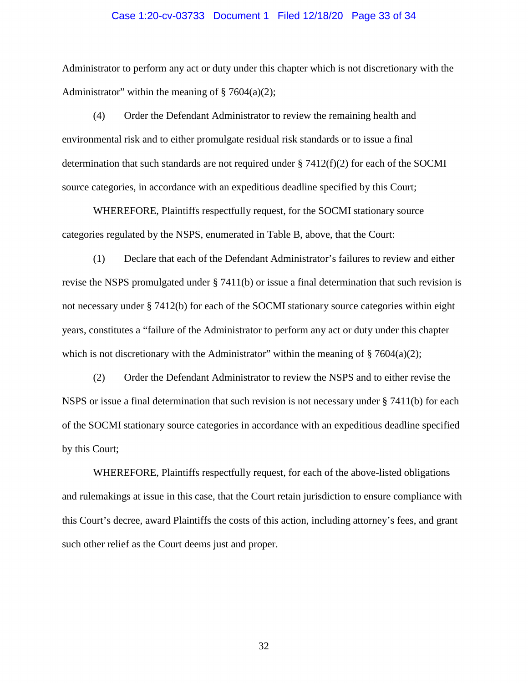### Case 1:20-cv-03733 Document 1 Filed 12/18/20 Page 33 of 34

Administrator to perform any act or duty under this chapter which is not discretionary with the Administrator" within the meaning of  $\S 7604(a)(2)$ ;

 (4) Order the Defendant Administrator to review the remaining health and environmental risk and to either promulgate residual risk standards or to issue a final determination that such standards are not required under  $\S 7412(f)(2)$  for each of the SOCMI source categories, in accordance with an expeditious deadline specified by this Court;

WHEREFORE, Plaintiffs respectfully request, for the SOCMI stationary source categories regulated by the NSPS, enumerated in Table B, above, that the Court:

(1) Declare that each of the Defendant Administrator's failures to review and either revise the NSPS promulgated under § 7411(b) or issue a final determination that such revision is not necessary under § 7412(b) for each of the SOCMI stationary source categories within eight years, constitutes a "failure of the Administrator to perform any act or duty under this chapter which is not discretionary with the Administrator" within the meaning of  $\S 7604(a)(2)$ ;

(2) Order the Defendant Administrator to review the NSPS and to either revise the NSPS or issue a final determination that such revision is not necessary under § 7411(b) for each of the SOCMI stationary source categories in accordance with an expeditious deadline specified by this Court;

WHEREFORE, Plaintiffs respectfully request, for each of the above-listed obligations and rulemakings at issue in this case, that the Court retain jurisdiction to ensure compliance with this Court's decree, award Plaintiffs the costs of this action, including attorney's fees, and grant such other relief as the Court deems just and proper.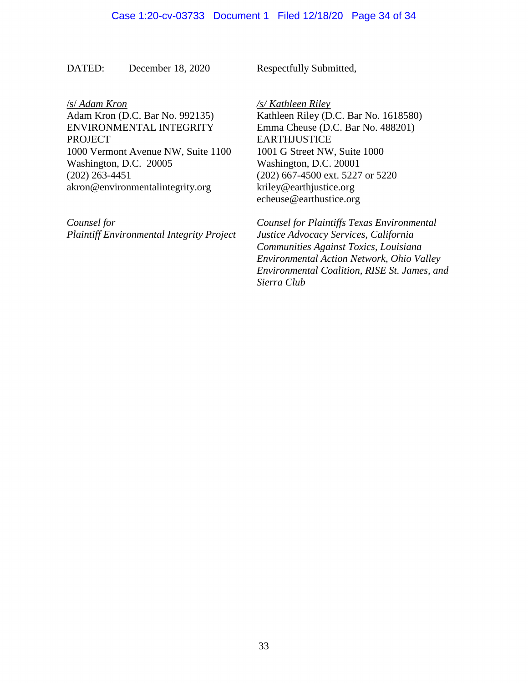DATED: December 18, 2020 Respectfully Submitted,

/s/ *Adam Kron*

Adam Kron (D.C. Bar No. 992135) ENVIRONMENTAL INTEGRITY **PROJECT** 1000 Vermont Avenue NW, Suite 1100 Washington, D.C. 20005 (202) 263-4451 akron@environmentalintegrity.org

*Counsel for Plaintiff Environmental Integrity Project*  */s/ Kathleen Riley* Kathleen Riley (D.C. Bar No. 1618580) Emma Cheuse (D.C. Bar No. 488201) **EARTHJUSTICE** 1001 G Street NW, Suite 1000 Washington, D.C. 20001 (202) 667-4500 ext. 5227 or 5220 [kriley@earthjustice.org](mailto:kriley@earthjustice.org) echeuse@earthustice.org

*Counsel for Plaintiffs Texas Environmental Justice Advocacy Services, California Communities Against Toxics, Louisiana Environmental Action Network, Ohio Valley Environmental Coalition, RISE St. James, and Sierra Club*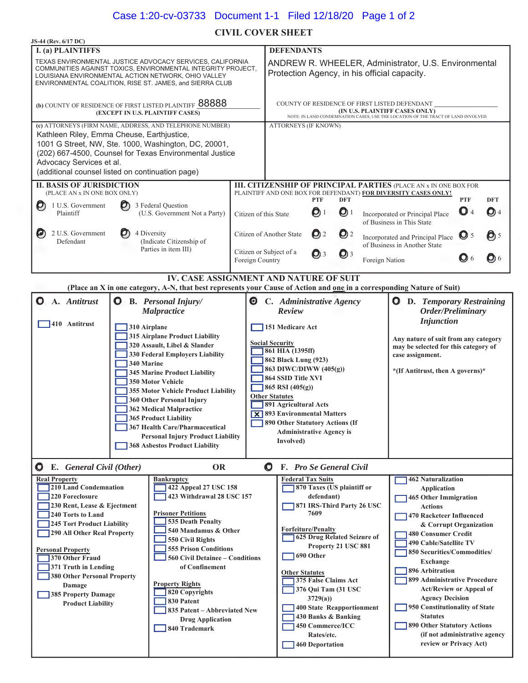# Case 1:20-cv-03733 Document 1-1 Filed 12/18/20 Page 1 of 2

# **CIVIL COVER SHEET**

| <b>JS-44 (Rev. 6/17 DC)</b>                                                                                                                                                                                                                                                                                                                                                                                                                                                                                                                                                                                                                                                                                                                                     |                                                                                                                                                                         |                         |                                                                                                                                                                                                                                                                                                                                                                                                                                                                                                                      |                                                                                                                                                                                                                                                                                  |                                         |                            |                                                                                                                                    |                                                                                                                                                                                                                                                                                                                                                                                                   |                     |
|-----------------------------------------------------------------------------------------------------------------------------------------------------------------------------------------------------------------------------------------------------------------------------------------------------------------------------------------------------------------------------------------------------------------------------------------------------------------------------------------------------------------------------------------------------------------------------------------------------------------------------------------------------------------------------------------------------------------------------------------------------------------|-------------------------------------------------------------------------------------------------------------------------------------------------------------------------|-------------------------|----------------------------------------------------------------------------------------------------------------------------------------------------------------------------------------------------------------------------------------------------------------------------------------------------------------------------------------------------------------------------------------------------------------------------------------------------------------------------------------------------------------------|----------------------------------------------------------------------------------------------------------------------------------------------------------------------------------------------------------------------------------------------------------------------------------|-----------------------------------------|----------------------------|------------------------------------------------------------------------------------------------------------------------------------|---------------------------------------------------------------------------------------------------------------------------------------------------------------------------------------------------------------------------------------------------------------------------------------------------------------------------------------------------------------------------------------------------|---------------------|
| <b>I.</b> (a) PLAINTIFFS                                                                                                                                                                                                                                                                                                                                                                                                                                                                                                                                                                                                                                                                                                                                        |                                                                                                                                                                         |                         | <b>DEFENDANTS</b>                                                                                                                                                                                                                                                                                                                                                                                                                                                                                                    |                                                                                                                                                                                                                                                                                  |                                         |                            |                                                                                                                                    |                                                                                                                                                                                                                                                                                                                                                                                                   |                     |
| TEXAS ENVIRONMENTAL JUSTICE ADVOCACY SERVICES, CALIFORNIA<br>COMMUNITIES AGAINST TOXICS, ENVIRONMENTAL INTEGRITY PROJECT,<br>LOUISIANA ENVIRONMENTAL ACTION NETWORK, OHIO VALLEY<br>ENVIRONMENTAL COALITION, RISE ST. JAMES, and SIERRA CLUB                                                                                                                                                                                                                                                                                                                                                                                                                                                                                                                    |                                                                                                                                                                         |                         | ANDREW R. WHEELER, Administrator, U.S. Environmental<br>Protection Agency, in his official capacity.                                                                                                                                                                                                                                                                                                                                                                                                                 |                                                                                                                                                                                                                                                                                  |                                         |                            |                                                                                                                                    |                                                                                                                                                                                                                                                                                                                                                                                                   |                     |
| (b) COUNTY OF RESIDENCE OF FIRST LISTED PLAINTIFF 88888<br>(EXCEPT IN U.S. PLAINTIFF CASES)                                                                                                                                                                                                                                                                                                                                                                                                                                                                                                                                                                                                                                                                     |                                                                                                                                                                         |                         | COUNTY OF RESIDENCE OF FIRST LISTED DEFENDANT<br>(IN U.S. PLAINTIFF CASES ONLY)<br>NOTE: IN LAND CONDEMNATION CASES, USE THE LOCATION OF THE TRACT OF LAND INVOLVED                                                                                                                                                                                                                                                                                                                                                  |                                                                                                                                                                                                                                                                                  |                                         |                            |                                                                                                                                    |                                                                                                                                                                                                                                                                                                                                                                                                   |                     |
| (c) ATTORNEYS (FIRM NAME, ADDRESS, AND TELEPHONE NUMBER)<br>Kathleen Riley, Emma Cheuse, Earthjustice,<br>1001 G Street, NW, Ste. 1000, Washington, DC, 20001,<br>(202) 667-4500, Counsel for Texas Environmental Justice<br>Advocacy Services et al.<br>(additional counsel listed on continuation page)                                                                                                                                                                                                                                                                                                                                                                                                                                                       |                                                                                                                                                                         |                         | <b>ATTORNEYS (IF KNOWN)</b>                                                                                                                                                                                                                                                                                                                                                                                                                                                                                          |                                                                                                                                                                                                                                                                                  |                                         |                            |                                                                                                                                    |                                                                                                                                                                                                                                                                                                                                                                                                   |                     |
| <b>II. BASIS OF JURISDICTION</b><br>(PLACE AN x IN ONE BOX ONLY)                                                                                                                                                                                                                                                                                                                                                                                                                                                                                                                                                                                                                                                                                                |                                                                                                                                                                         |                         |                                                                                                                                                                                                                                                                                                                                                                                                                                                                                                                      |                                                                                                                                                                                                                                                                                  |                                         |                            | III. CITIZENSHIP OF PRINCIPAL PARTIES (PLACE AN x IN ONE BOX FOR<br>PLAINTIFF AND ONE BOX FOR DEFENDANT) FOR DIVERSITY CASES ONLY! |                                                                                                                                                                                                                                                                                                                                                                                                   |                     |
| 1 U.S. Government<br>$\boldsymbol{O}$<br>$\bm{O}$<br>Plaintiff                                                                                                                                                                                                                                                                                                                                                                                                                                                                                                                                                                                                                                                                                                  | 3 Federal Question<br>(U.S. Government Not a Party)                                                                                                                     | Citizen of this State   |                                                                                                                                                                                                                                                                                                                                                                                                                                                                                                                      | <b>PTF</b><br>O                                                                                                                                                                                                                                                                  | <b>DFT</b><br>$\mathbf{O}$ <sup>1</sup> |                            | Incorporated or Principal Place<br>of Business in This State                                                                       | <b>PTF</b><br>O <sub>4</sub>                                                                                                                                                                                                                                                                                                                                                                      | <b>DFT</b><br>$Q$ 4 |
| 2 U.S. Government<br>O)<br>Defendant                                                                                                                                                                                                                                                                                                                                                                                                                                                                                                                                                                                                                                                                                                                            | 4 Diversity<br>(Indicate Citizenship of<br>Parties in item III)                                                                                                         | Citizen or Subject of a | Citizen of Another State<br>Q <sub>2</sub><br>$Q^2$<br>Incorporated and Principal Place<br>of Business in Another State                                                                                                                                                                                                                                                                                                                                                                                              |                                                                                                                                                                                                                                                                                  |                                         |                            | $\mathbf{O}$ 5                                                                                                                     | $\bigcirc$ 5                                                                                                                                                                                                                                                                                                                                                                                      |                     |
|                                                                                                                                                                                                                                                                                                                                                                                                                                                                                                                                                                                                                                                                                                                                                                 |                                                                                                                                                                         | Foreign Country         |                                                                                                                                                                                                                                                                                                                                                                                                                                                                                                                      | Q <sub>3</sub>                                                                                                                                                                                                                                                                   | $Q$ 3                                   | Foreign Nation             |                                                                                                                                    | $\bigcirc$ 6                                                                                                                                                                                                                                                                                                                                                                                      | $Q_6$               |
|                                                                                                                                                                                                                                                                                                                                                                                                                                                                                                                                                                                                                                                                                                                                                                 | <b>IV. CASE ASSIGNMENT AND NATURE OF SUIT</b><br>(Place an X in one category, A-N, that best represents your Cause of Action and one in a corresponding Nature of Suit) |                         |                                                                                                                                                                                                                                                                                                                                                                                                                                                                                                                      |                                                                                                                                                                                                                                                                                  |                                         |                            |                                                                                                                                    |                                                                                                                                                                                                                                                                                                                                                                                                   |                     |
| A. Antitrust<br>O<br>O                                                                                                                                                                                                                                                                                                                                                                                                                                                                                                                                                                                                                                                                                                                                          | <b>B.</b> Personal Injury/<br><b>Malpractice</b>                                                                                                                        | $\boldsymbol{\Theta}$   | C. Administrative Agency<br><b>O</b> D. Temporary Restraining<br>Review<br>Order/Preliminary                                                                                                                                                                                                                                                                                                                                                                                                                         |                                                                                                                                                                                                                                                                                  |                                         |                            |                                                                                                                                    |                                                                                                                                                                                                                                                                                                                                                                                                   |                     |
| 410 Antitrust<br>310 Airplane<br>315 Airplane Product Liability<br>320 Assault, Libel & Slander<br>330 Federal Employers Liability<br>340 Marine<br><b>345 Marine Product Liability</b><br>350 Motor Vehicle<br>355 Motor Vehicle Product Liability<br>360 Other Personal Injury<br>362 Medical Malpractice<br><b>365 Product Liability</b><br><b>367 Health Care/Pharmaceutical</b><br><b>Personal Injury Product Liability</b><br><b>368 Asbestos Product Liability</b>                                                                                                                                                                                                                                                                                       |                                                                                                                                                                         |                         | <b>Injunction</b><br>151 Medicare Act<br>Any nature of suit from any category<br><b>Social Security</b><br>may be selected for this category of<br>$\sqrt{361$ HIA (1395ff)<br>case assignment.<br>862 Black Lung (923)<br>863 DIWC/DIWW (405(g))<br>*(If Antitrust, then A governs)*<br>864 SSID Title XVI<br>865 RSI $(405(g))$<br><b>Other Statutes</b><br>891 Agricultural Acts<br><b>X</b> 893 Environmental Matters<br>890 Other Statutory Actions (If<br><b>Administrative Agency is</b><br><b>Involved</b> ) |                                                                                                                                                                                                                                                                                  |                                         |                            |                                                                                                                                    |                                                                                                                                                                                                                                                                                                                                                                                                   |                     |
| <b>Q</b> E. General Civil (Other)                                                                                                                                                                                                                                                                                                                                                                                                                                                                                                                                                                                                                                                                                                                               | <b>OR</b>                                                                                                                                                               |                         | <b>O</b> F. Pro Se General Civil                                                                                                                                                                                                                                                                                                                                                                                                                                                                                     |                                                                                                                                                                                                                                                                                  |                                         |                            |                                                                                                                                    |                                                                                                                                                                                                                                                                                                                                                                                                   |                     |
| <b>Real Property</b><br><b>Bankruptcy</b><br>210 Land Condemnation<br>422 Appeal 27 USC 158<br>220 Foreclosure<br>423 Withdrawal 28 USC 157<br>230 Rent, Lease & Ejectment<br><b>Prisoner Petitions</b><br>240 Torts to Land<br>535 Death Penalty<br>245 Tort Product Liability<br>540 Mandamus & Other<br>290 All Other Real Property<br>550 Civil Rights<br><b>555 Prison Conditions</b><br><b>Personal Property</b><br>370 Other Fraud<br><b>560 Civil Detainee – Conditions</b><br>371 Truth in Lending<br>of Confinement<br>380 Other Personal Property<br><b>Property Rights</b><br>Damage<br>820 Copyrights<br>385 Property Damage<br>830 Patent<br><b>Product Liability</b><br>835 Patent - Abbreviated New<br><b>Drug Application</b><br>840 Trademark |                                                                                                                                                                         |                         | <b>Federal Tax Suits</b><br><b>Forfeiture/Penalty</b><br>690 Other<br><b>Other Statutes</b>                                                                                                                                                                                                                                                                                                                                                                                                                          | 870 Taxes (US plaintiff or<br>defendant)<br>7609<br>625 Drug Related Seizure of<br>Property 21 USC 881<br>375 False Claims Act<br>376 Qui Tam (31 USC<br>3729(a)<br>400 State Reapportionment<br>430 Banks & Banking<br>450 Commerce/ICC<br>Rates/etc.<br><b>460 Deportation</b> |                                         | 871 IRS-Third Party 26 USC | <b>462 Naturalization</b><br><b>Application</b><br><b>Actions</b><br>Exchange<br>896 Arbitration<br><b>Statutes</b>                | <b>465 Other Immigration</b><br>470 Racketeer Influenced<br>& Corrupt Organization<br><b>480 Consumer Credit</b><br>490 Cable/Satellite TV<br>850 Securities/Commodities/<br>899 Administrative Procedure<br><b>Act/Review or Appeal of</b><br><b>Agency Decision</b><br>950 Constitutionality of State<br>890 Other Statutory Actions<br>(if not administrative agency<br>review or Privacy Act) |                     |